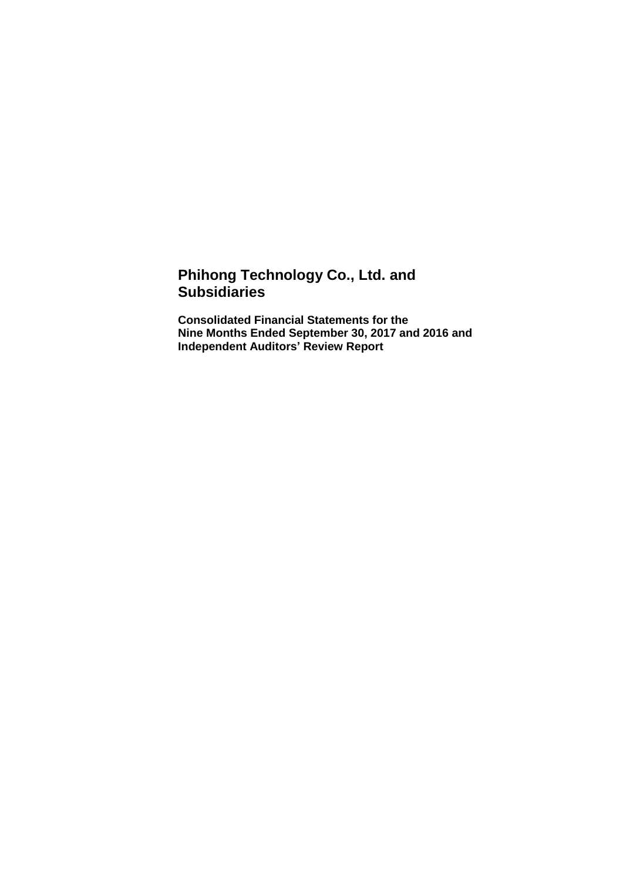# **Phihong Technology Co., Ltd. and Subsidiaries**

**Consolidated Financial Statements for the Nine Months Ended September 30, 2017 and 2016 and Independent Auditors' Review Report**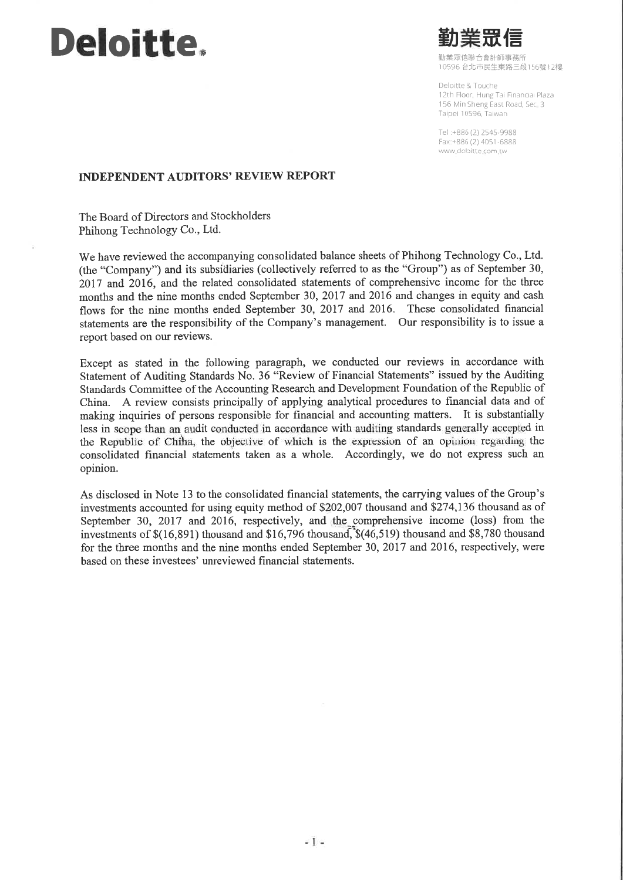# **Deloitte.**



10596 台北市民生東路三段156號12樓

Deloitte & Touche 12th Floor, Hung Tai Financial Plaza 156 Min Sheng East Road, Sec. 3 Taipei 10596, Taiwan

Tel:+886 (2) 2545-9988 Fax:+886 (2) 4051-6888 www.deloitte.com.tw

#### **INDEPENDENT AUDITORS' REVIEW REPORT**

The Board of Directors and Stockholders Phihong Technology Co., Ltd.

We have reviewed the accompanying consolidated balance sheets of Phihong Technology Co., Ltd. (the "Company") and its subsidiaries (collectively referred to as the "Group") as of September 30, 2017 and 2016, and the related consolidated statements of comprehensive income for the three months and the nine months ended September 30, 2017 and 2016 and changes in equity and cash flows for the nine months ended September 30, 2017 and 2016. These consolidated financial statements are the responsibility of the Company's management. Our responsibility is to issue a report based on our reviews.

Except as stated in the following paragraph, we conducted our reviews in accordance with Statement of Auditing Standards No. 36 "Review of Financial Statements" issued by the Auditing Standards Committee of the Accounting Research and Development Foundation of the Republic of China. A review consists principally of applying analytical procedures to financial data and of making inquiries of persons responsible for financial and accounting matters. It is substantially less in scope than an audit conducted in accordance with auditing standards generally accepted in the Republic of China, the objective of which is the expression of an opinion regarding the consolidated financial statements taken as a whole. Accordingly, we do not express such an opinion.

As disclosed in Note 13 to the consolidated financial statements, the carrying values of the Group's investments accounted for using equity method of \$202,007 thousand and \$274,136 thousand as of September 30, 2017 and 2016, respectively, and the comprehensive income (loss) from the investments of \$(16,891) thousand and \$16,796 thousand, \$(46,519) thousand and \$8,780 thousand for the three months and the nine months ended September 30, 2017 and 2016, respectively, were hased on these investees' unreviewed financial statements.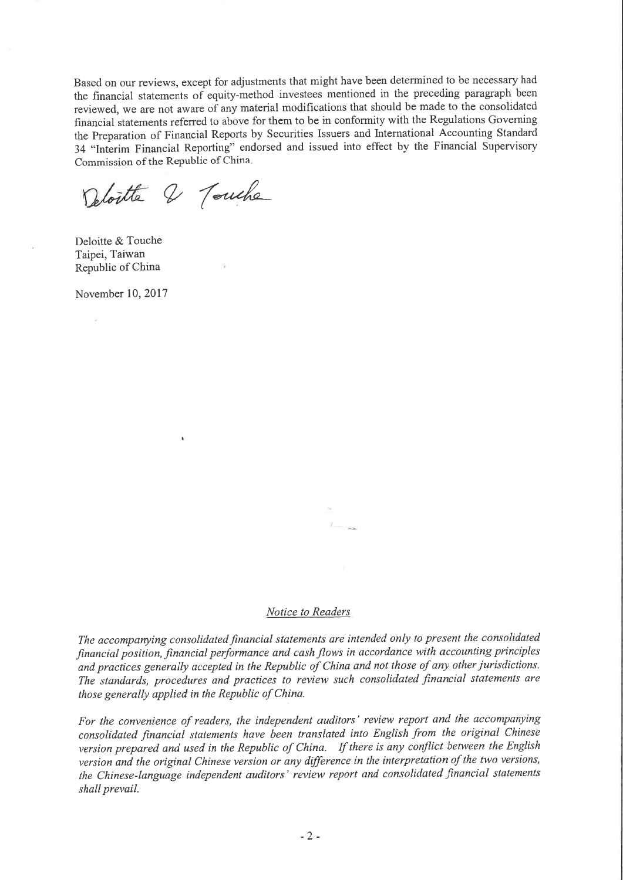Based on our reviews, except for adjustments that might have been determined to be necessary had the financial statements of equity-method investees mentioned in the preceding paragraph been reviewed, we are not aware of any material modifications that should be made to the consolidated financial statements referred to above for them to be in conformity with the Regulations Governing the Preparation of Financial Reports by Securities Issuers and International Accounting Standard 34 "Interim Financial Reporting" endorsed and issued into effect by the Financial Supervisory Commission of the Republic of China.

Deloitte & Touche

Deloitte & Touche Taipei, Taiwan Republic of China

November 10, 2017

 $240$ 

#### Notice to Readers

The accompanying consolidated financial statements are intended only to present the consolidated financial position, financial performance and cash flows in accordance with accounting principles and practices generally accepted in the Republic of China and not those of any other jurisdictions. The standards, procedures and practices to review such consolidated financial statements are those generally applied in the Republic of China.

For the convenience of readers, the independent auditors' review report and the accompanying consolidated financial statements have been translated into English from the original Chinese version prepared and used in the Republic of China. If there is any conflict between the English version and the original Chinese version or any difference in the interpretation of the two versions, the Chinese-language independent auditors' review report and consolidated financial statements shall prevail.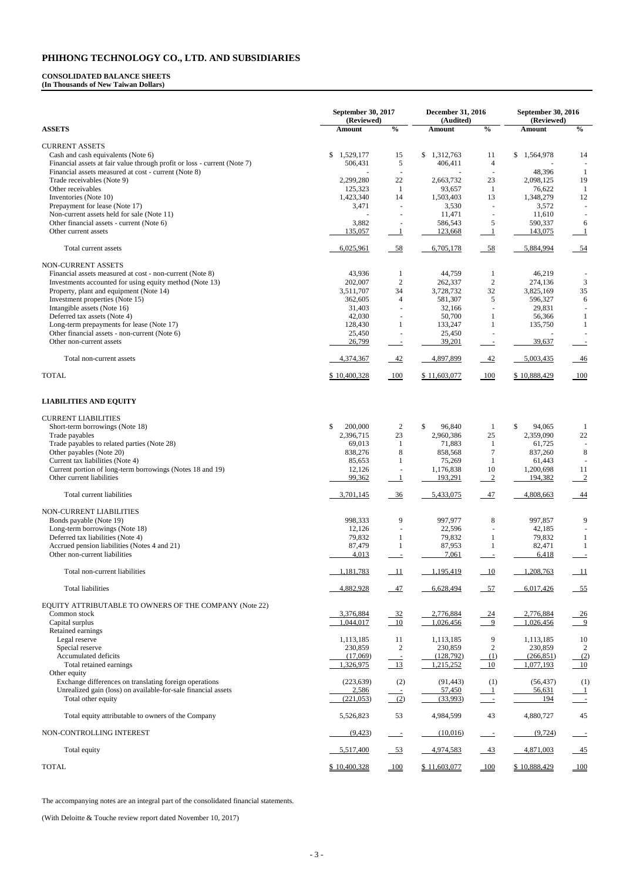#### **CONSOLIDATED BALANCE SHEETS (In Thousands of New Taiwan Dollars)**

|                                                                                                                     | <b>September 30, 2017</b><br>(Reviewed) | <b>December 31, 2016</b><br>(Audited) |                      | September 30, 2016<br>(Reviewed) |                      |                                             |
|---------------------------------------------------------------------------------------------------------------------|-----------------------------------------|---------------------------------------|----------------------|----------------------------------|----------------------|---------------------------------------------|
| <b>ASSETS</b>                                                                                                       | Amount                                  | $\frac{0}{0}$                         | Amount               | $\frac{0}{0}$                    | <b>Amount</b>        | $\frac{0}{0}$                               |
| <b>CURRENT ASSETS</b>                                                                                               |                                         |                                       |                      |                                  |                      |                                             |
| Cash and cash equivalents (Note 6)                                                                                  | \$<br>1,529,177                         | 15                                    | \$1,312,763          | 11                               | \$<br>1,564,978      | 14                                          |
| Financial assets at fair value through profit or loss - current (Note 7)                                            | 506,431                                 | 5                                     | 406,411              | 4                                |                      |                                             |
| Financial assets measured at cost - current (Note 8)<br>Trade receivables (Note 9)                                  | 2,299,280                               | 22                                    | 2,663,732            | 23                               | 48,396<br>2,098,125  | 1<br>19                                     |
| Other receivables                                                                                                   | 125,323                                 | -1                                    | 93,657               | -1                               | 76,622               |                                             |
| Inventories (Note 10)                                                                                               | 1,423,340                               | 14                                    | 1,503,403            | 13                               | 1,348,279            | 12                                          |
| Prepayment for lease (Note 17)                                                                                      | 3,471                                   |                                       | 3,530                |                                  | 3,572                |                                             |
| Non-current assets held for sale (Note 11)                                                                          |                                         |                                       | 11,471               |                                  | 11,610               |                                             |
| Other financial assets - current (Note 6)                                                                           | 3,882                                   |                                       | 586,543              | 5                                | 590,337              | 6                                           |
| Other current assets                                                                                                | 135,057                                 |                                       | 123,668              |                                  | 143,075              |                                             |
| Total current assets                                                                                                | 6,025,961                               | $-58$                                 | 6,705,178            | 58                               | 5,884,994            | $-54$                                       |
| NON-CURRENT ASSETS                                                                                                  |                                         |                                       |                      |                                  |                      |                                             |
| Financial assets measured at cost - non-current (Note 8)<br>Investments accounted for using equity method (Note 13) | 43,936<br>202,007                       | $\overline{c}$                        | 44,759<br>262,337    | -1<br>$\overline{2}$             | 46,219<br>274,136    |                                             |
| Property, plant and equipment (Note 14)                                                                             | 3,511,707                               | 34                                    | 3,728,732            | 32                               | 3,825,169            | 3<br>$35\,$                                 |
| Investment properties (Note 15)                                                                                     | 362,605                                 | $\overline{4}$                        | 581,307              | 5                                | 596,327              | $\sqrt{6}$                                  |
| Intangible assets (Note 16)                                                                                         | 31,403                                  |                                       | 32,166               |                                  | 29,831               |                                             |
| Deferred tax assets (Note 4)                                                                                        | 42,030                                  |                                       | 50,700               |                                  | 56,366               |                                             |
| Long-term prepayments for lease (Note 17)                                                                           | 128,430                                 | 1                                     | 133,247              | 1                                | 135,750              | 1                                           |
| Other financial assets - non-current (Note 6)                                                                       | 25,450                                  |                                       | 25,450               |                                  |                      |                                             |
| Other non-current assets                                                                                            | 26,799                                  |                                       | 39,201               |                                  | 39,637               |                                             |
| Total non-current assets                                                                                            | 4,374,367                               | $-42$                                 | 4,897,899            | $-42$                            | 5,003,435            | $-46$                                       |
| <b>TOTAL</b>                                                                                                        | \$10,400,328                            | 100                                   | \$11,603,077         | 100                              | \$10,888,429         | 100                                         |
| <b>LIABILITIES AND EQUITY</b>                                                                                       |                                         |                                       |                      |                                  |                      |                                             |
| <b>CURRENT LIABILITIES</b>                                                                                          |                                         |                                       |                      |                                  |                      |                                             |
| Short-term borrowings (Note 18)                                                                                     | \$<br>200,000                           | 2                                     | \$<br>96,840         | 1                                | \$<br>94,065         |                                             |
| Trade payables                                                                                                      | 2,396,715                               | $23\,$                                | 2,960,386            | 25                               | 2,359,090            | $22\,$                                      |
| Trade payables to related parties (Note 28)                                                                         | 69,013                                  |                                       | 71,883               |                                  | 61,725               |                                             |
| Other payables (Note 20)                                                                                            | 838,276                                 | 8                                     | 858,568              | 7                                | 837,260              | 8                                           |
| Current tax liabilities (Note 4)                                                                                    | 85,653                                  |                                       | 75,269               |                                  | 61,443               |                                             |
| Current portion of long-term borrowings (Notes 18 and 19)<br>Other current liabilities                              | 12,126<br>99,362                        |                                       | 1,176,838<br>193,291 | 10<br>$\overline{2}$             | 1,200,698<br>194,382 | <sup>11</sup><br>$\overline{\phantom{0}}^2$ |
| Total current liabilities                                                                                           | 3,701,145                               | $-36$                                 | 5,433,075            | 47                               | 4,808,663            | $-44$                                       |
| NON-CURRENT LIABILITIES                                                                                             |                                         |                                       |                      |                                  |                      |                                             |
| Bonds payable (Note 19)                                                                                             | 998,333                                 | 9                                     | 997,977              | $8\,$                            | 997,857              | 9                                           |
| Long-term borrowings (Note 18)                                                                                      | 12,126                                  |                                       | 22,596               |                                  | 42,185               |                                             |
| Deferred tax liabilities (Note 4)                                                                                   | 79,832                                  |                                       | 79,832               |                                  | 79,832               |                                             |
| Accrued pension liabilities (Notes 4 and 21)                                                                        | 87,479                                  |                                       | 87,953               |                                  | 82,471               | -1                                          |
| Other non-current liabilities                                                                                       | 4,013                                   |                                       | 7,061                |                                  | 6,418                |                                             |
| Total non-current liabilities                                                                                       | 1,181,783                               | $-11$                                 | 1,195,419            | 10                               | 1,208,763            | $\overline{\phantom{0}11}$                  |
| <b>Total liabilities</b>                                                                                            | 4,882,928                               | $-47$                                 | 6,628,494            | $-57$                            | 6,017,426            | $-55$                                       |
| EQUITY ATTRIBUTABLE TO OWNERS OF THE COMPANY (Note 22)                                                              |                                         |                                       |                      |                                  |                      |                                             |
| Common stock                                                                                                        | 3,376,884                               |                                       | 2,776,884            | 24                               | 2,776,884            |                                             |
| Capital surplus                                                                                                     | 1,044,017                               | $\frac{32}{10}$                       | 1,026,456            | 9                                | 1,026,456            | $\frac{26}{9}$                              |
| Retained earnings                                                                                                   |                                         |                                       |                      |                                  |                      |                                             |
| Legal reserve                                                                                                       | 1,113,185                               | 11                                    | 1,113,185            | 9                                | 1,113,185            | 10                                          |
| Special reserve                                                                                                     | 230,859                                 | $\mathbf{2}$                          | 230,859              | $\boldsymbol{2}$                 | 230,859              | 2                                           |
| Accumulated deficits                                                                                                | (17,069)                                |                                       | (128,792)            | (1)                              | (266, 851)           | (2)                                         |
| Total retained earnings                                                                                             | 1,326,975                               | $-13$                                 | 1,215,252            | 10                               | 1,077,193            | 10                                          |
| Other equity<br>Exchange differences on translating foreign operations                                              | (223, 639)                              |                                       | (91, 443)            |                                  | (56, 437)            |                                             |
| Unrealized gain (loss) on available-for-sale financial assets                                                       | 2,586                                   | (2)                                   | 57,450               | (1)                              | 56,631               | (1)                                         |
| Total other equity                                                                                                  | (221, 053)                              | (2)                                   | (33,993)             | $\sim$ $-$                       | 194                  | $\sim$ $\sim$                               |
| Total equity attributable to owners of the Company                                                                  | 5,526,823                               | 53                                    | 4,984,599            | 43                               | 4,880,727            | 45                                          |
| NON-CONTROLLING INTEREST                                                                                            | (9, 423)                                |                                       | (10,016)             |                                  | (9, 724)             |                                             |
| Total equity                                                                                                        | 5,517,400                               | $-53$                                 | 4,974,583            | 43                               | 4,871,003            | $-45$                                       |
| <b>TOTAL</b>                                                                                                        | \$10,400,328                            | 100                                   | \$11,603,077         | 100                              | \$10,888,429         | 100                                         |

The accompanying notes are an integral part of the consolidated financial statements.

(With Deloitte & Touche review report dated November 10, 2017)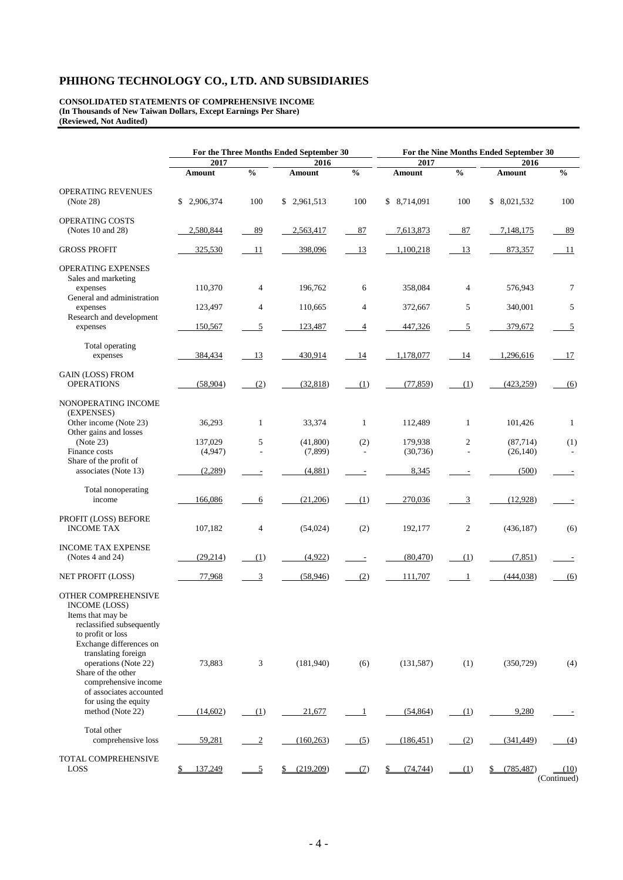**CONSOLIDATED STATEMENTS OF COMPREHENSIVE INCOME (In Thousands of New Taiwan Dollars, Except Earnings Per Share) (Reviewed, Not Audited)**

|                                                                                                                                                                                              | For the Three Months Ended September 30 |                |             | For the Nine Months Ended September 30 |              |                |             |                     |  |
|----------------------------------------------------------------------------------------------------------------------------------------------------------------------------------------------|-----------------------------------------|----------------|-------------|----------------------------------------|--------------|----------------|-------------|---------------------|--|
|                                                                                                                                                                                              | 2017                                    |                | 2016        |                                        | 2017         |                | 2016        |                     |  |
|                                                                                                                                                                                              | Amount                                  | $\frac{0}{0}$  | Amount      | $\frac{0}{0}$                          | Amount       | $\frac{0}{0}$  | Amount      | $\frac{0}{0}$       |  |
| OPERATING REVENUES<br>(Note 28)                                                                                                                                                              | \$2,906,374                             | 100            | \$2,961,513 | 100                                    | \$ 8,714,091 | 100            | \$8,021,532 | 100                 |  |
| OPERATING COSTS<br>(Notes 10 and 28)                                                                                                                                                         | 2,580,844                               | 89             | 2,563,417   | 87                                     | 7,613,873    | 87             | 7,148,175   | 89                  |  |
| <b>GROSS PROFIT</b>                                                                                                                                                                          | 325,530                                 | 11             | 398,096     | 13                                     | 1,100,218    | 13             | 873,357     | -11                 |  |
| <b>OPERATING EXPENSES</b><br>Sales and marketing<br>expenses<br>General and administration                                                                                                   | 110,370                                 | $\overline{4}$ | 196,762     | 6                                      | 358,084      | 4              | 576,943     | 7                   |  |
| expenses                                                                                                                                                                                     | 123,497                                 | $\overline{4}$ | 110,665     | $\overline{4}$                         | 372,667      | 5              | 340,001     | 5                   |  |
| Research and development<br>expenses                                                                                                                                                         | 150,567                                 | 5              | 123,487     | 4                                      | 447,326      | 5              | 379,672     | $\overline{5}$      |  |
| Total operating<br>expenses                                                                                                                                                                  | 384,434                                 | 13             | 430,914     | 14                                     | 1,178,077    | 14             | 1,296,616   | 17                  |  |
| <b>GAIN (LOSS) FROM</b><br><b>OPERATIONS</b>                                                                                                                                                 | (58,904)                                | (2)            | (32, 818)   | (1)                                    | (77, 859)    | (1)            | (423, 259)  | (6)                 |  |
| NONOPERATING INCOME<br>(EXPENSES)<br>Other income (Note 23)                                                                                                                                  | 36,293                                  | $\mathbf{1}$   | 33,374      | $\mathbf{1}$                           | 112,489      | $\mathbf{1}$   | 101,426     | 1                   |  |
| Other gains and losses<br>(Note 23)                                                                                                                                                          | 137,029                                 | 5              | (41,800)    | (2)                                    | 179,938      | $\overline{c}$ | (87, 714)   | (1)                 |  |
| Finance costs<br>Share of the profit of                                                                                                                                                      | (4,947)                                 | L,             | (7,899)     | $\sim$                                 | (30, 736)    | $\overline{a}$ | (26, 140)   |                     |  |
| associates (Note 13)                                                                                                                                                                         | (2,289)                                 |                | (4,881)     | $\overline{a}$                         | 8,345        |                | (500)       |                     |  |
| Total nonoperating<br>income                                                                                                                                                                 | 166,086                                 | 6              | (21,206)    | (1)                                    | 270,036      | 3              | (12,928)    |                     |  |
| PROFIT (LOSS) BEFORE<br><b>INCOME TAX</b>                                                                                                                                                    | 107,182                                 | 4              | (54, 024)   | (2)                                    | 192,177      | $\overline{c}$ | (436, 187)  | (6)                 |  |
| <b>INCOME TAX EXPENSE</b><br>(Notes 4 and 24)                                                                                                                                                | (29, 214)                               | (1)            | (4,922)     | $\overline{a}$                         | (80, 470)    | (1)            | (7, 851)    |                     |  |
| NET PROFIT (LOSS)                                                                                                                                                                            | 77,968                                  | 3              | (58, 946)   | (2)                                    | 111,707      | -1             | (444, 038)  | (6)                 |  |
| OTHER COMPREHENSIVE<br><b>INCOME (LOSS)</b><br>Items that may be<br>reclassified subsequently<br>to profit or loss<br>Exchange differences on<br>translating foreign<br>operations (Note 22) | 73,883                                  | 3              | (181,940)   | (6)                                    | (131, 587)   | (1)            | (350, 729)  | (4)                 |  |
| Share of the other<br>comprehensive income<br>of associates accounted<br>for using the equity<br>method (Note 22)                                                                            | (14,602)                                | (1)            | 21,677      | -1                                     | (54, 864)    | (1)            | 9,280       |                     |  |
| Total other<br>comprehensive loss                                                                                                                                                            | 59,281                                  | $\overline{2}$ | (160, 263)  | (5)                                    | (186, 451)   | (2)            | (341, 449)  | (4)                 |  |
| TOTAL COMPREHENSIVE<br><b>LOSS</b>                                                                                                                                                           | 137,249<br>\$                           | <u>5</u>       | (219,209)   | (7)                                    | (74, 744)    | (1)            | (785, 487)  | (10)<br>(Continued) |  |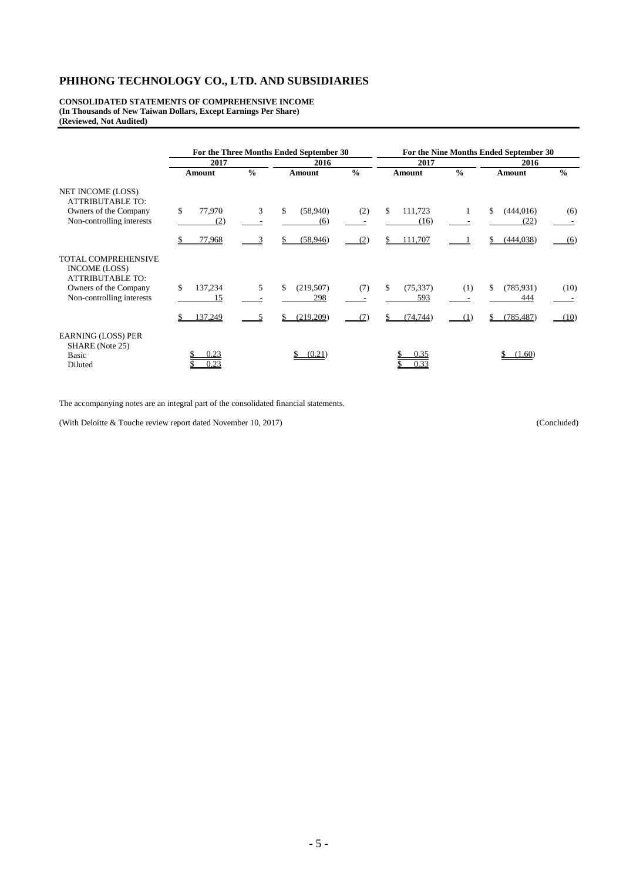**CONSOLIDATED STATEMENTS OF COMPREHENSIVE INCOME (In Thousands of New Taiwan Dollars, Except Earnings Per Share) (Reviewed, Not Audited)**

|                                                                        | For the Three Months Ended September 30 |               |                        |               | For the Nine Months Ended September 30 |               |                          |               |
|------------------------------------------------------------------------|-----------------------------------------|---------------|------------------------|---------------|----------------------------------------|---------------|--------------------------|---------------|
|                                                                        | 2017                                    |               | 2016                   |               | 2017                                   |               | 2016                     |               |
|                                                                        | Amount                                  | $\frac{0}{0}$ | Amount                 | $\frac{0}{0}$ | Amount                                 | $\frac{0}{0}$ | Amount                   | $\frac{0}{0}$ |
| <b>NET INCOME (LOSS)</b><br><b>ATTRIBUTABLE TO:</b>                    |                                         |               |                        |               |                                        |               |                          |               |
| Owners of the Company<br>Non-controlling interests                     | \$<br>77,970<br>(2)                     | 3             | \$<br>(58,940)<br>(6)  | (2)           | \$<br>111,723<br>(16)                  |               | (444, 016)<br>\$<br>(22) | (6)           |
|                                                                        | 77,968                                  |               | (58, 946)<br>S         | (2)           | 111,707                                |               | (444, 038)<br>S.         | (6)           |
| <b>TOTAL COMPREHENSIVE</b><br>INCOME (LOSS)<br><b>ATTRIBUTABLE TO:</b> |                                         |               |                        |               |                                        |               |                          |               |
| Owners of the Company<br>Non-controlling interests                     | \$<br>137,234<br>15                     | 5             | \$<br>(219,507)<br>298 | (7)           | \$<br>(75, 337)<br>593                 | (1)           | (785, 931)<br>\$<br>444  | (10)          |
|                                                                        | 137,249                                 |               | (219,209)              | (7)           | (74, 744)                              |               | (785, 487)               | (10)          |
| <b>EARNING (LOSS) PER</b><br>SHARE (Note 25)<br>Basic<br>Diluted       | 0.23<br>0.23                            |               | (0.21)                 |               | 0.35<br>0.33                           |               | (1.60)                   |               |

The accompanying notes are an integral part of the consolidated financial statements.

(With Deloitte & Touche review report dated November 10, 2017) (Concluded)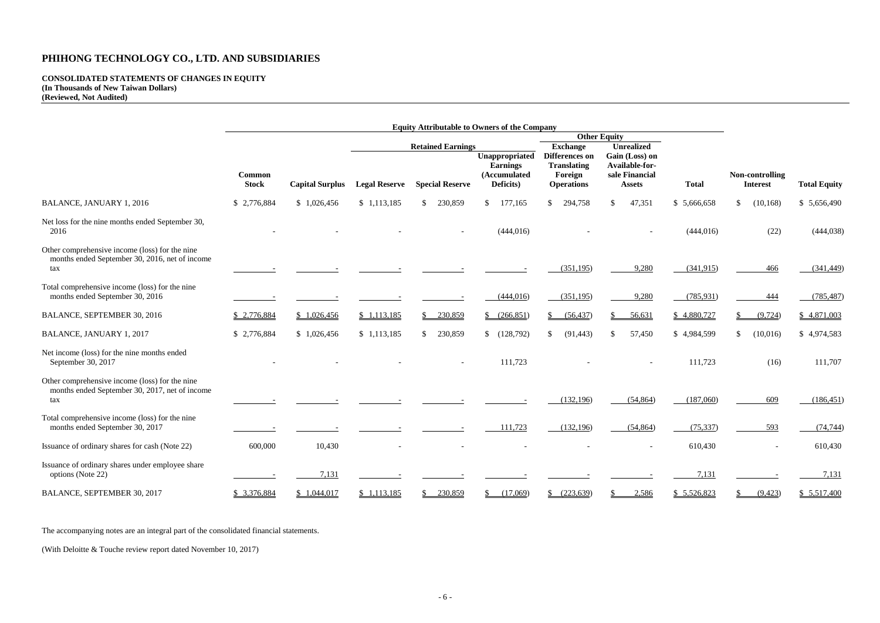#### **CONSOLIDATED STATEMENTS OF CHANGES IN EQUITY (In Thousands of New Taiwan Dollars) (Reviewed, Not Audited)**

| <b>Total</b>    | <b>Non-controlling</b><br><b>Interest</b> |              |
|-----------------|-------------------------------------------|--------------|
| \$<br>5,666,658 | \$<br>(10, 168)                           | \$5,656,490  |
| (444, 016)      | (22)                                      | (444, 038)   |
| (341, 915)      | 466                                       | (341, 449)   |
| (785, 931)      | 444                                       | (785, 487)   |
| \$<br>4,880,727 | \$<br>(9, 724)                            | \$4,871,003  |
| \$<br>4,984,599 | \$<br>(10,016)                            | \$4,974,583  |
| 111,723         | (16)                                      | 111,707      |
| (187,060)       | 609                                       | (186, 451)   |
| (75, 337)       | 593                                       | (74, 744)    |
| 610,430         |                                           | 610,430      |
| <u>7,131</u>    |                                           | <u>7,131</u> |
| \$ 5,526,823    | \$<br>(9,423)                             | \$5,517,400  |

|                                                                                                         | <b>Equity Attributable to Owners of the Company</b> |                        |                      |                                                    |                                                                |                                                                                                |                                                                                          |              |                                    |                     |
|---------------------------------------------------------------------------------------------------------|-----------------------------------------------------|------------------------|----------------------|----------------------------------------------------|----------------------------------------------------------------|------------------------------------------------------------------------------------------------|------------------------------------------------------------------------------------------|--------------|------------------------------------|---------------------|
|                                                                                                         |                                                     |                        |                      |                                                    | <b>Other Equity</b>                                            |                                                                                                |                                                                                          |              |                                    |                     |
|                                                                                                         | <b>Common</b><br><b>Stock</b>                       | <b>Capital Surplus</b> | <b>Legal Reserve</b> | <b>Retained Earnings</b><br><b>Special Reserve</b> | Unappropriated<br><b>Earnings</b><br>(Accumulated<br>Deficits) | <b>Exchange</b><br><b>Differences</b> on<br><b>Translating</b><br>Foreign<br><b>Operations</b> | <b>Unrealized</b><br>Gain (Loss) on<br>Available-for-<br>sale Financial<br><b>Assets</b> | <b>Total</b> | Non-controlling<br><b>Interest</b> | <b>Total Equity</b> |
| <b>BALANCE, JANUARY 1, 2016</b>                                                                         | \$2,776,884                                         | \$1,026,456            | \$1,113,185          | 230,859<br>$\mathbb{S}$                            | $\mathbb{S}$<br>177,165                                        | $\mathbb{S}$<br>294,758                                                                        | $\mathbb{S}$<br>47,351                                                                   | \$5,666,658  | (10, 168)<br>$\mathbb{S}^-$        | \$5,656,490         |
| Net loss for the nine months ended September 30,<br>2016                                                |                                                     |                        |                      |                                                    | (444, 016)                                                     |                                                                                                |                                                                                          | (444, 016)   | (22)                               | (444, 038)          |
| Other comprehensive income (loss) for the nine<br>months ended September 30, 2016, net of income<br>tax |                                                     |                        |                      |                                                    |                                                                | (351, 195)                                                                                     | 9,280                                                                                    | (341,915)    | 466                                | (341, 449)          |
| Total comprehensive income (loss) for the nine<br>months ended September 30, 2016                       |                                                     |                        |                      |                                                    | (444, 016)                                                     | (351, 195)                                                                                     | 9,280                                                                                    | (785, 931)   | 444                                | (785, 487)          |
| BALANCE, SEPTEMBER 30, 2016                                                                             | \$2,776,884                                         | \$1,026,456            | \$1,113,185          | \$230,859                                          | \$ (266,851)                                                   | \$<br>(56, 437)                                                                                | 56,631                                                                                   | \$4,880,727  | (9, 724)                           | \$4,871,003         |
| BALANCE, JANUARY 1, 2017                                                                                | \$2,776,884                                         | \$1,026,456            | \$1,113,185          | 230,859<br>\$                                      | \$(128,792)                                                    | (91, 443)<br>\$                                                                                | 57,450<br>\$                                                                             | \$4,984,599  | (10,016)<br>$\mathbb{S}^-$         | \$4,974,583         |
| Net income (loss) for the nine months ended<br>September 30, 2017                                       |                                                     |                        |                      |                                                    | 111,723                                                        |                                                                                                |                                                                                          | 111,723      | (16)                               | 111,707             |
| Other comprehensive income (loss) for the nine<br>months ended September 30, 2017, net of income<br>tax |                                                     |                        |                      |                                                    |                                                                | (132, 196)                                                                                     | (54, 864)                                                                                | (187,060)    | 609                                | (186, 451)          |
| Total comprehensive income (loss) for the nine<br>months ended September 30, 2017                       |                                                     |                        |                      |                                                    | 111,723                                                        | (132, 196)                                                                                     | (54, 864)                                                                                | (75, 337)    | 593                                | (74, 744)           |
| Issuance of ordinary shares for cash (Note 22)                                                          | 600,000                                             | 10,430                 |                      |                                                    |                                                                |                                                                                                |                                                                                          | 610,430      |                                    | 610,430             |
| Issuance of ordinary shares under employee share<br>options (Note 22)                                   |                                                     | 7,131                  |                      |                                                    |                                                                |                                                                                                |                                                                                          | 7,131        |                                    | 7,131               |
| BALANCE, SEPTEMBER 30, 2017                                                                             | \$3,376,884                                         | \$1,044,017            | \$1,113,185          | 230,859                                            | (17,069)                                                       | (223, 639)                                                                                     | 2,586                                                                                    | \$5,526,823  | (9,423)                            | \$5,517,400         |

The accompanying notes are an integral part of the consolidated financial statements.

(With Deloitte & Touche review report dated November 10, 2017)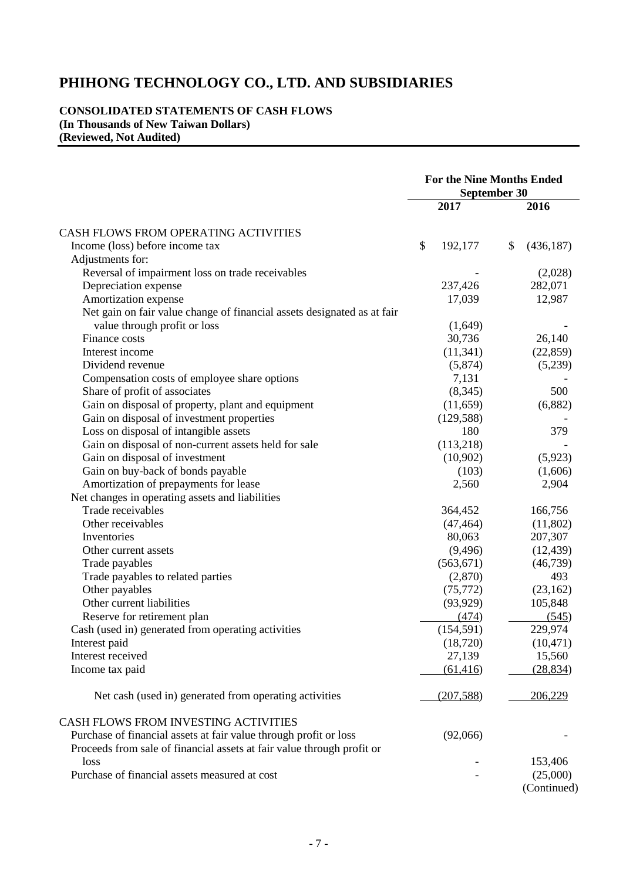#### **CONSOLIDATED STATEMENTS OF CASH FLOWS (In Thousands of New Taiwan Dollars) (Reviewed, Not Audited)**

|                                                                         | <b>For the Nine Months Ended</b><br><b>September 30</b> |            |    |             |
|-------------------------------------------------------------------------|---------------------------------------------------------|------------|----|-------------|
|                                                                         |                                                         | 2017       |    | 2016        |
| CASH FLOWS FROM OPERATING ACTIVITIES                                    |                                                         |            |    |             |
| Income (loss) before income tax                                         | \$                                                      | 192,177    | \$ | (436, 187)  |
| Adjustments for:                                                        |                                                         |            |    |             |
| Reversal of impairment loss on trade receivables                        |                                                         |            |    | (2,028)     |
| Depreciation expense                                                    |                                                         | 237,426    |    | 282,071     |
| Amortization expense                                                    |                                                         | 17,039     |    | 12,987      |
| Net gain on fair value change of financial assets designated as at fair |                                                         |            |    |             |
| value through profit or loss                                            |                                                         | (1,649)    |    |             |
| Finance costs                                                           |                                                         | 30,736     |    | 26,140      |
| Interest income                                                         |                                                         | (11, 341)  |    | (22, 859)   |
| Dividend revenue                                                        |                                                         | (5,874)    |    | (5,239)     |
| Compensation costs of employee share options                            |                                                         | 7,131      |    |             |
|                                                                         |                                                         |            |    |             |
| Share of profit of associates                                           |                                                         | (8, 345)   |    | 500         |
| Gain on disposal of property, plant and equipment                       |                                                         | (11,659)   |    | (6,882)     |
| Gain on disposal of investment properties                               |                                                         | (129, 588) |    |             |
| Loss on disposal of intangible assets                                   |                                                         | 180        |    | 379         |
| Gain on disposal of non-current assets held for sale                    |                                                         | (113,218)  |    |             |
| Gain on disposal of investment                                          |                                                         | (10,902)   |    | (5,923)     |
| Gain on buy-back of bonds payable                                       |                                                         | (103)      |    | (1,606)     |
| Amortization of prepayments for lease                                   |                                                         | 2,560      |    | 2,904       |
| Net changes in operating assets and liabilities                         |                                                         |            |    |             |
| Trade receivables                                                       |                                                         | 364,452    |    | 166,756     |
| Other receivables                                                       |                                                         | (47, 464)  |    | (11,802)    |
| Inventories                                                             |                                                         | 80,063     |    | 207,307     |
| Other current assets                                                    |                                                         | (9,496)    |    | (12, 439)   |
| Trade payables                                                          |                                                         | (563, 671) |    | (46, 739)   |
| Trade payables to related parties                                       |                                                         | (2,870)    |    | 493         |
| Other payables                                                          |                                                         | (75, 772)  |    | (23,162)    |
| Other current liabilities                                               |                                                         | (93, 929)  |    | 105,848     |
| Reserve for retirement plan                                             |                                                         | (474)      |    | (545)       |
| Cash (used in) generated from operating activities                      |                                                         | (154, 591) |    | 229,974     |
| Interest paid                                                           |                                                         | (18, 720)  |    | (10, 471)   |
| Interest received                                                       |                                                         | 27,139     |    | 15,560      |
| Income tax paid                                                         |                                                         | (61, 416)  |    | (28, 834)   |
|                                                                         |                                                         |            |    |             |
| Net cash (used in) generated from operating activities                  |                                                         | (207, 588) |    | 206,229     |
| CASH FLOWS FROM INVESTING ACTIVITIES                                    |                                                         |            |    |             |
| Purchase of financial assets at fair value through profit or loss       |                                                         | (92,066)   |    |             |
| Proceeds from sale of financial assets at fair value through profit or  |                                                         |            |    |             |
| loss                                                                    |                                                         |            |    | 153,406     |
| Purchase of financial assets measured at cost                           |                                                         |            |    | (25,000)    |
|                                                                         |                                                         |            |    | (Continued) |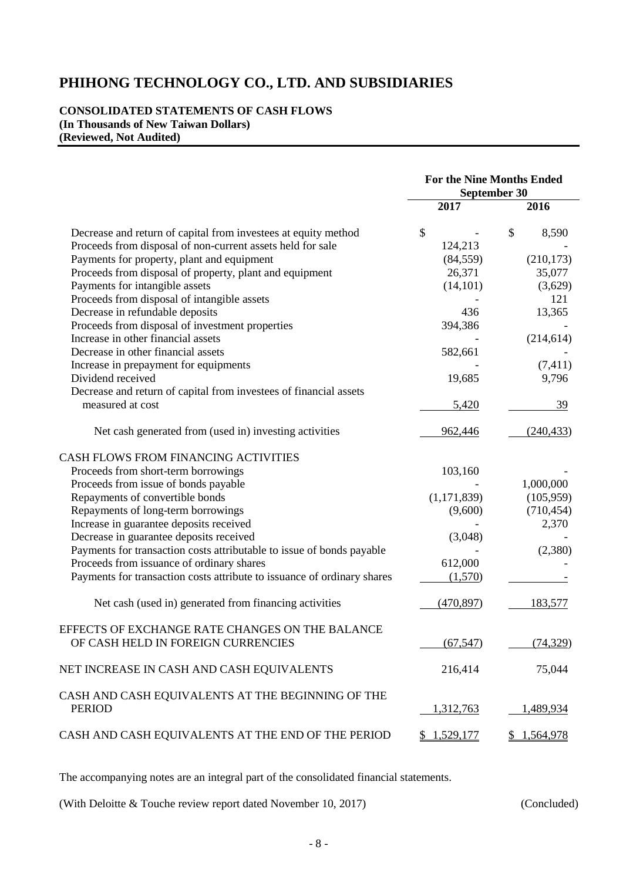#### **CONSOLIDATED STATEMENTS OF CASH FLOWS (In Thousands of New Taiwan Dollars) (Reviewed, Not Audited)**

|                                                                         | <b>For the Nine Months Ended</b><br>September 30 |             |  |  |
|-------------------------------------------------------------------------|--------------------------------------------------|-------------|--|--|
|                                                                         | 2017                                             | 2016        |  |  |
| Decrease and return of capital from investees at equity method          | \$                                               | \$<br>8,590 |  |  |
| Proceeds from disposal of non-current assets held for sale              | 124,213                                          |             |  |  |
| Payments for property, plant and equipment                              | (84, 559)                                        | (210, 173)  |  |  |
| Proceeds from disposal of property, plant and equipment                 | 26,371                                           | 35,077      |  |  |
| Payments for intangible assets                                          | (14, 101)                                        | (3,629)     |  |  |
| Proceeds from disposal of intangible assets                             |                                                  | 121         |  |  |
| Decrease in refundable deposits                                         | 436                                              | 13,365      |  |  |
| Proceeds from disposal of investment properties                         | 394,386                                          |             |  |  |
| Increase in other financial assets                                      |                                                  | (214, 614)  |  |  |
| Decrease in other financial assets                                      | 582,661                                          |             |  |  |
| Increase in prepayment for equipments                                   |                                                  | (7, 411)    |  |  |
| Dividend received                                                       | 19,685                                           | 9,796       |  |  |
| Decrease and return of capital from investees of financial assets       |                                                  |             |  |  |
| measured at cost                                                        | 5,420                                            | 39          |  |  |
| Net cash generated from (used in) investing activities                  | 962,446                                          | (240, 433)  |  |  |
| CASH FLOWS FROM FINANCING ACTIVITIES                                    |                                                  |             |  |  |
| Proceeds from short-term borrowings                                     | 103,160                                          |             |  |  |
| Proceeds from issue of bonds payable                                    |                                                  | 1,000,000   |  |  |
| Repayments of convertible bonds                                         | (1,171,839)                                      | (105,959)   |  |  |
| Repayments of long-term borrowings                                      | (9,600)                                          | (710, 454)  |  |  |
| Increase in guarantee deposits received                                 |                                                  | 2,370       |  |  |
| Decrease in guarantee deposits received                                 | (3,048)                                          |             |  |  |
| Payments for transaction costs attributable to issue of bonds payable   |                                                  | (2,380)     |  |  |
| Proceeds from issuance of ordinary shares                               | 612,000                                          |             |  |  |
| Payments for transaction costs attribute to issuance of ordinary shares | (1,570)                                          |             |  |  |
| Net cash (used in) generated from financing activities                  | (470, 897)                                       | 183,577     |  |  |
| EFFECTS OF EXCHANGE RATE CHANGES ON THE BALANCE                         |                                                  |             |  |  |
| OF CASH HELD IN FOREIGN CURRENCIES                                      | (67, 547)                                        | (74, 329)   |  |  |
| NET INCREASE IN CASH AND CASH EQUIVALENTS                               | 216,414                                          | 75,044      |  |  |
| CASH AND CASH EQUIVALENTS AT THE BEGINNING OF THE<br><b>PERIOD</b>      | 1,312,763                                        | 1,489,934   |  |  |
| CASH AND CASH EQUIVALENTS AT THE END OF THE PERIOD                      | \$1,529,177                                      | \$1,564,978 |  |  |

The accompanying notes are an integral part of the consolidated financial statements.

(With Deloitte & Touche review report dated November 10, 2017) (Concluded)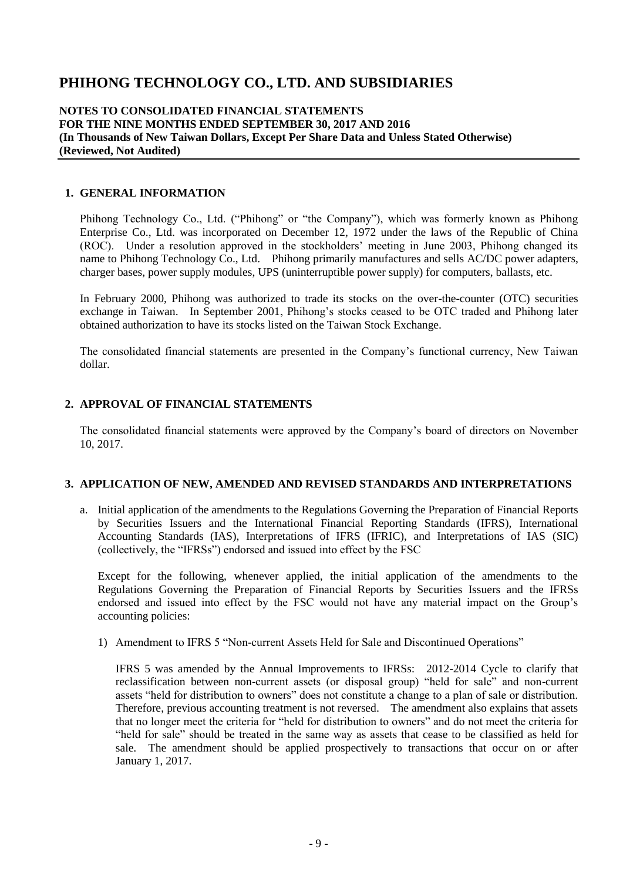#### **NOTES TO CONSOLIDATED FINANCIAL STATEMENTS FOR THE NINE MONTHS ENDED SEPTEMBER 30, 2017 AND 2016 (In Thousands of New Taiwan Dollars, Except Per Share Data and Unless Stated Otherwise) (Reviewed, Not Audited)**

#### **1. GENERAL INFORMATION**

Phihong Technology Co., Ltd. ("Phihong" or "the Company"), which was formerly known as Phihong Enterprise Co., Ltd. was incorporated on December 12, 1972 under the laws of the Republic of China (ROC). Under a resolution approved in the stockholders' meeting in June 2003, Phihong changed its name to Phihong Technology Co., Ltd. Phihong primarily manufactures and sells AC/DC power adapters, charger bases, power supply modules, UPS (uninterruptible power supply) for computers, ballasts, etc.

In February 2000, Phihong was authorized to trade its stocks on the over-the-counter (OTC) securities exchange in Taiwan. In September 2001, Phihong's stocks ceased to be OTC traded and Phihong later obtained authorization to have its stocks listed on the Taiwan Stock Exchange.

The consolidated financial statements are presented in the Company's functional currency, New Taiwan dollar.

#### **2. APPROVAL OF FINANCIAL STATEMENTS**

The consolidated financial statements were approved by the Company's board of directors on November 10, 2017.

#### **3. APPLICATION OF NEW, AMENDED AND REVISED STANDARDS AND INTERPRETATIONS**

a. Initial application of the amendments to the Regulations Governing the Preparation of Financial Reports by Securities Issuers and the International Financial Reporting Standards (IFRS), International Accounting Standards (IAS), Interpretations of IFRS (IFRIC), and Interpretations of IAS (SIC) (collectively, the "IFRSs") endorsed and issued into effect by the FSC

Except for the following, whenever applied, the initial application of the amendments to the Regulations Governing the Preparation of Financial Reports by Securities Issuers and the IFRSs endorsed and issued into effect by the FSC would not have any material impact on the Group's accounting policies:

1) Amendment to IFRS 5 "Non-current Assets Held for Sale and Discontinued Operations"

IFRS 5 was amended by the Annual Improvements to IFRSs: 2012-2014 Cycle to clarify that reclassification between non-current assets (or disposal group) "held for sale" and non-current assets "held for distribution to owners" does not constitute a change to a plan of sale or distribution. Therefore, previous accounting treatment is not reversed. The amendment also explains that assets that no longer meet the criteria for "held for distribution to owners" and do not meet the criteria for "held for sale" should be treated in the same way as assets that cease to be classified as held for sale. The amendment should be applied prospectively to transactions that occur on or after January 1, 2017.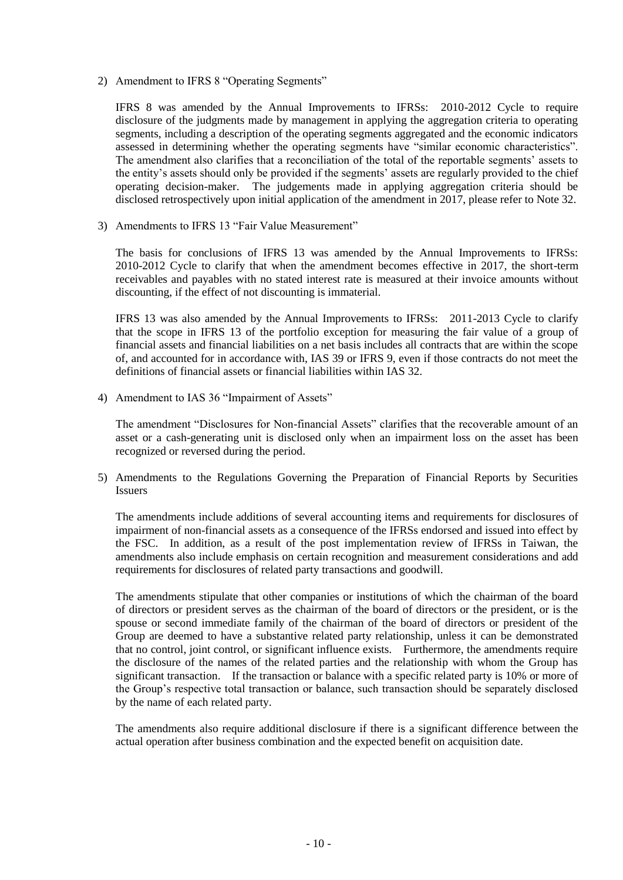2) Amendment to IFRS 8 "Operating Segments"

IFRS 8 was amended by the Annual Improvements to IFRSs: 2010-2012 Cycle to require disclosure of the judgments made by management in applying the aggregation criteria to operating segments, including a description of the operating segments aggregated and the economic indicators assessed in determining whether the operating segments have "similar economic characteristics". The amendment also clarifies that a reconciliation of the total of the reportable segments' assets to the entity's assets should only be provided if the segments' assets are regularly provided to the chief operating decision-maker. The judgements made in applying aggregation criteria should be disclosed retrospectively upon initial application of the amendment in 2017, please refer to Note 32.

3) Amendments to IFRS 13 "Fair Value Measurement"

The basis for conclusions of IFRS 13 was amended by the Annual Improvements to IFRSs: 2010-2012 Cycle to clarify that when the amendment becomes effective in 2017, the short-term receivables and payables with no stated interest rate is measured at their invoice amounts without discounting, if the effect of not discounting is immaterial.

IFRS 13 was also amended by the Annual Improvements to IFRSs: 2011-2013 Cycle to clarify that the scope in IFRS 13 of the portfolio exception for measuring the fair value of a group of financial assets and financial liabilities on a net basis includes all contracts that are within the scope of, and accounted for in accordance with, IAS 39 or IFRS 9, even if those contracts do not meet the definitions of financial assets or financial liabilities within IAS 32.

4) Amendment to IAS 36 "Impairment of Assets"

The amendment "Disclosures for Non-financial Assets" clarifies that the recoverable amount of an asset or a cash-generating unit is disclosed only when an impairment loss on the asset has been recognized or reversed during the period.

5) Amendments to the Regulations Governing the Preparation of Financial Reports by Securities **Issuers** 

The amendments include additions of several accounting items and requirements for disclosures of impairment of non-financial assets as a consequence of the IFRSs endorsed and issued into effect by the FSC. In addition, as a result of the post implementation review of IFRSs in Taiwan, the amendments also include emphasis on certain recognition and measurement considerations and add requirements for disclosures of related party transactions and goodwill.

The amendments stipulate that other companies or institutions of which the chairman of the board of directors or president serves as the chairman of the board of directors or the president, or is the spouse or second immediate family of the chairman of the board of directors or president of the Group are deemed to have a substantive related party relationship, unless it can be demonstrated that no control, joint control, or significant influence exists. Furthermore, the amendments require the disclosure of the names of the related parties and the relationship with whom the Group has significant transaction. If the transaction or balance with a specific related party is 10% or more of the Group's respective total transaction or balance, such transaction should be separately disclosed by the name of each related party.

The amendments also require additional disclosure if there is a significant difference between the actual operation after business combination and the expected benefit on acquisition date.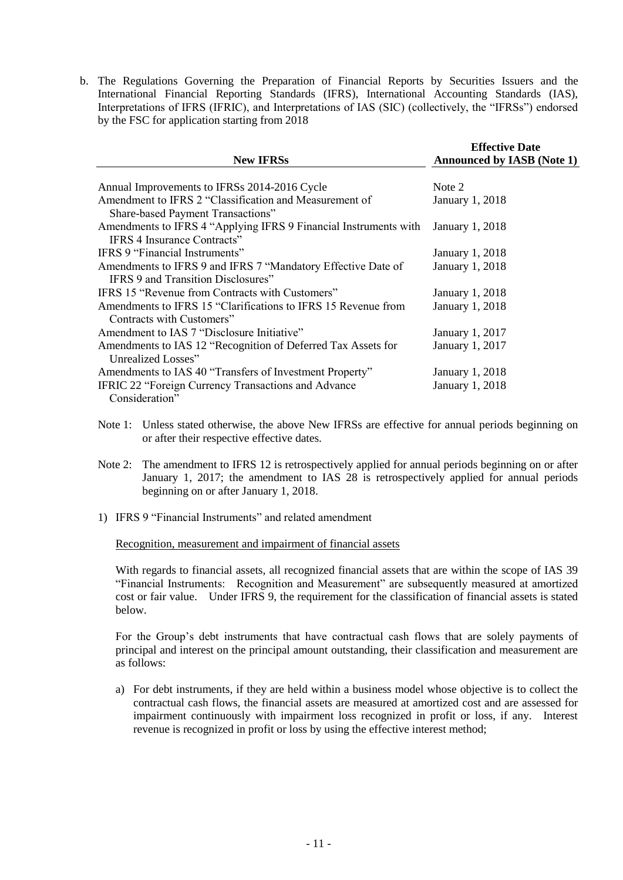b. The Regulations Governing the Preparation of Financial Reports by Securities Issuers and the International Financial Reporting Standards (IFRS), International Accounting Standards (IAS), Interpretations of IFRS (IFRIC), and Interpretations of IAS (SIC) (collectively, the "IFRSs") endorsed by the FSC for application starting from 2018

| <b>New IFRSs</b>                                                 | <b>Effective Date</b><br><b>Announced by IASB (Note 1)</b> |  |  |
|------------------------------------------------------------------|------------------------------------------------------------|--|--|
|                                                                  |                                                            |  |  |
| Annual Improvements to IFRSs 2014-2016 Cycle                     | Note 2                                                     |  |  |
| Amendment to IFRS 2 "Classification and Measurement of           | <b>January 1, 2018</b>                                     |  |  |
| Share-based Payment Transactions"                                |                                                            |  |  |
| Amendments to IFRS 4 "Applying IFRS 9 Financial Instruments with | January 1, 2018                                            |  |  |
| IFRS 4 Insurance Contracts"                                      |                                                            |  |  |
| IFRS 9 "Financial Instruments"                                   | <b>January 1, 2018</b>                                     |  |  |
| Amendments to IFRS 9 and IFRS 7 "Mandatory Effective Date of     | January 1, 2018                                            |  |  |
| IFRS 9 and Transition Disclosures"                               |                                                            |  |  |
| IFRS 15 "Revenue from Contracts with Customers"                  | <b>January 1, 2018</b>                                     |  |  |
| Amendments to IFRS 15 "Clarifications to IFRS 15 Revenue from    | January 1, 2018                                            |  |  |
| Contracts with Customers"                                        |                                                            |  |  |
| Amendment to IAS 7 "Disclosure Initiative"                       | January 1, 2017                                            |  |  |
| Amendments to IAS 12 "Recognition of Deferred Tax Assets for     | January 1, 2017                                            |  |  |
| Unrealized Losses"                                               |                                                            |  |  |
| Amendments to IAS 40 "Transfers of Investment Property"          | <b>January 1, 2018</b>                                     |  |  |
| IFRIC 22 "Foreign Currency Transactions and Advance              | <b>January 1, 2018</b>                                     |  |  |
| Consideration"                                                   |                                                            |  |  |

- Note 1: Unless stated otherwise, the above New IFRSs are effective for annual periods beginning on or after their respective effective dates.
- Note 2: The amendment to IFRS 12 is retrospectively applied for annual periods beginning on or after January 1, 2017; the amendment to IAS 28 is retrospectively applied for annual periods beginning on or after January 1, 2018.
- 1) IFRS 9 "Financial Instruments" and related amendment

Recognition, measurement and impairment of financial assets

With regards to financial assets, all recognized financial assets that are within the scope of IAS 39 "Financial Instruments: Recognition and Measurement" are subsequently measured at amortized cost or fair value. Under IFRS 9, the requirement for the classification of financial assets is stated below.

For the Group's debt instruments that have contractual cash flows that are solely payments of principal and interest on the principal amount outstanding, their classification and measurement are as follows:

a) For debt instruments, if they are held within a business model whose objective is to collect the contractual cash flows, the financial assets are measured at amortized cost and are assessed for impairment continuously with impairment loss recognized in profit or loss, if any. Interest revenue is recognized in profit or loss by using the effective interest method;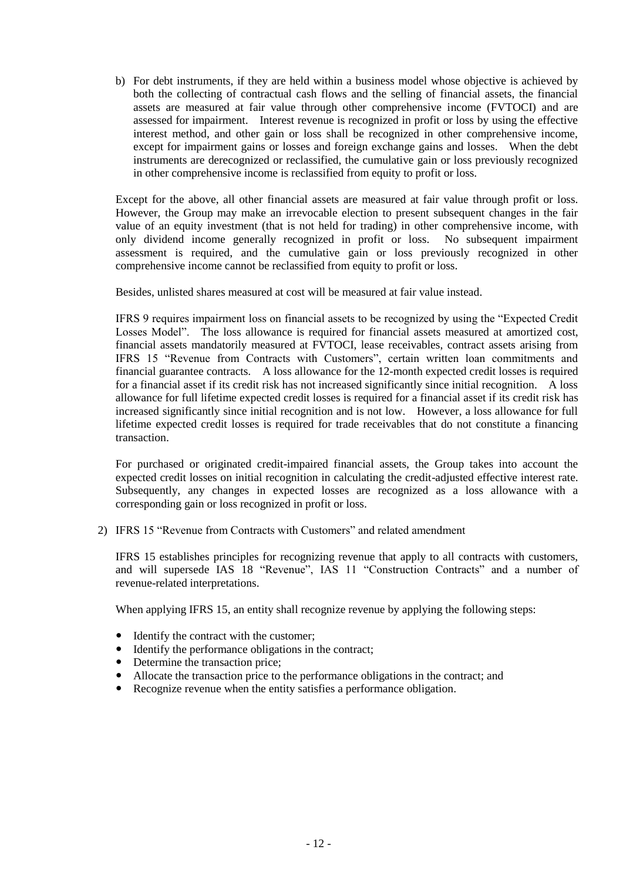b) For debt instruments, if they are held within a business model whose objective is achieved by both the collecting of contractual cash flows and the selling of financial assets, the financial assets are measured at fair value through other comprehensive income (FVTOCI) and are assessed for impairment. Interest revenue is recognized in profit or loss by using the effective interest method, and other gain or loss shall be recognized in other comprehensive income, except for impairment gains or losses and foreign exchange gains and losses. When the debt instruments are derecognized or reclassified, the cumulative gain or loss previously recognized in other comprehensive income is reclassified from equity to profit or loss.

Except for the above, all other financial assets are measured at fair value through profit or loss. However, the Group may make an irrevocable election to present subsequent changes in the fair value of an equity investment (that is not held for trading) in other comprehensive income, with only dividend income generally recognized in profit or loss. No subsequent impairment assessment is required, and the cumulative gain or loss previously recognized in other comprehensive income cannot be reclassified from equity to profit or loss.

Besides, unlisted shares measured at cost will be measured at fair value instead.

IFRS 9 requires impairment loss on financial assets to be recognized by using the "Expected Credit Losses Model". The loss allowance is required for financial assets measured at amortized cost, financial assets mandatorily measured at FVTOCI, lease receivables, contract assets arising from IFRS 15 "Revenue from Contracts with Customers", certain written loan commitments and financial guarantee contracts. A loss allowance for the 12-month expected credit losses is required for a financial asset if its credit risk has not increased significantly since initial recognition. A loss allowance for full lifetime expected credit losses is required for a financial asset if its credit risk has increased significantly since initial recognition and is not low. However, a loss allowance for full lifetime expected credit losses is required for trade receivables that do not constitute a financing transaction.

For purchased or originated credit-impaired financial assets, the Group takes into account the expected credit losses on initial recognition in calculating the credit-adjusted effective interest rate. Subsequently, any changes in expected losses are recognized as a loss allowance with a corresponding gain or loss recognized in profit or loss.

2) IFRS 15 "Revenue from Contracts with Customers" and related amendment

IFRS 15 establishes principles for recognizing revenue that apply to all contracts with customers, and will supersede IAS 18 "Revenue", IAS 11 "Construction Contracts" and a number of revenue-related interpretations.

When applying IFRS 15, an entity shall recognize revenue by applying the following steps:

- Identify the contract with the customer;
- Identify the performance obligations in the contract;
- Determine the transaction price;
- Allocate the transaction price to the performance obligations in the contract; and
- Recognize revenue when the entity satisfies a performance obligation.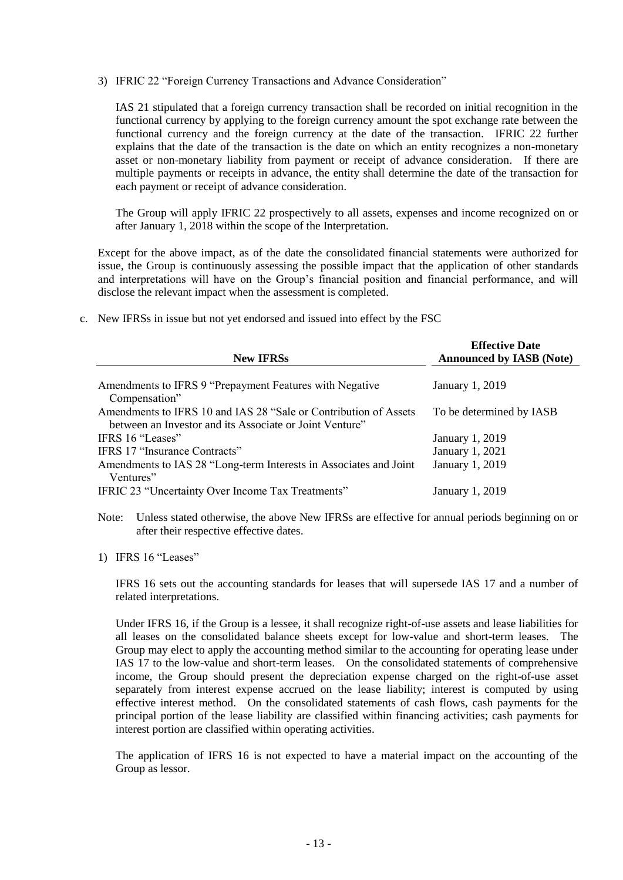3) IFRIC 22 "Foreign Currency Transactions and Advance Consideration"

IAS 21 stipulated that a foreign currency transaction shall be recorded on initial recognition in the functional currency by applying to the foreign currency amount the spot exchange rate between the functional currency and the foreign currency at the date of the transaction. IFRIC 22 further explains that the date of the transaction is the date on which an entity recognizes a non-monetary asset or non-monetary liability from payment or receipt of advance consideration. If there are multiple payments or receipts in advance, the entity shall determine the date of the transaction for each payment or receipt of advance consideration.

The Group will apply IFRIC 22 prospectively to all assets, expenses and income recognized on or after January 1, 2018 within the scope of the Interpretation.

Except for the above impact, as of the date the consolidated financial statements were authorized for issue, the Group is continuously assessing the possible impact that the application of other standards and interpretations will have on the Group's financial position and financial performance, and will disclose the relevant impact when the assessment is completed.

c. New IFRSs in issue but not yet endorsed and issued into effect by the FSC

| <b>New IFRSs</b>                                                  | <b>Effective Date</b><br><b>Announced by IASB (Note)</b> |
|-------------------------------------------------------------------|----------------------------------------------------------|
|                                                                   |                                                          |
| Amendments to IFRS 9 "Prepayment Features with Negative           | January 1, 2019                                          |
| Compensation"                                                     |                                                          |
| Amendments to IFRS 10 and IAS 28 "Sale or Contribution of Assets  | To be determined by IASB                                 |
| between an Investor and its Associate or Joint Venture"           |                                                          |
| IFRS 16 "Leases"                                                  | January 1, 2019                                          |
| IFRS 17 "Insurance Contracts"                                     | January 1, 2021                                          |
| Amendments to IAS 28 "Long-term Interests in Associates and Joint | January 1, 2019                                          |
| Ventures"                                                         |                                                          |
| IFRIC 23 "Uncertainty Over Income Tax Treatments"                 | January 1, 2019                                          |

Note: Unless stated otherwise, the above New IFRSs are effective for annual periods beginning on or after their respective effective dates.

1) IFRS 16 "Leases"

IFRS 16 sets out the accounting standards for leases that will supersede IAS 17 and a number of related interpretations.

Under IFRS 16, if the Group is a lessee, it shall recognize right-of-use assets and lease liabilities for all leases on the consolidated balance sheets except for low-value and short-term leases. The Group may elect to apply the accounting method similar to the accounting for operating lease under IAS 17 to the low-value and short-term leases. On the consolidated statements of comprehensive income, the Group should present the depreciation expense charged on the right-of-use asset separately from interest expense accrued on the lease liability; interest is computed by using effective interest method. On the consolidated statements of cash flows, cash payments for the principal portion of the lease liability are classified within financing activities; cash payments for interest portion are classified within operating activities.

The application of IFRS 16 is not expected to have a material impact on the accounting of the Group as lessor.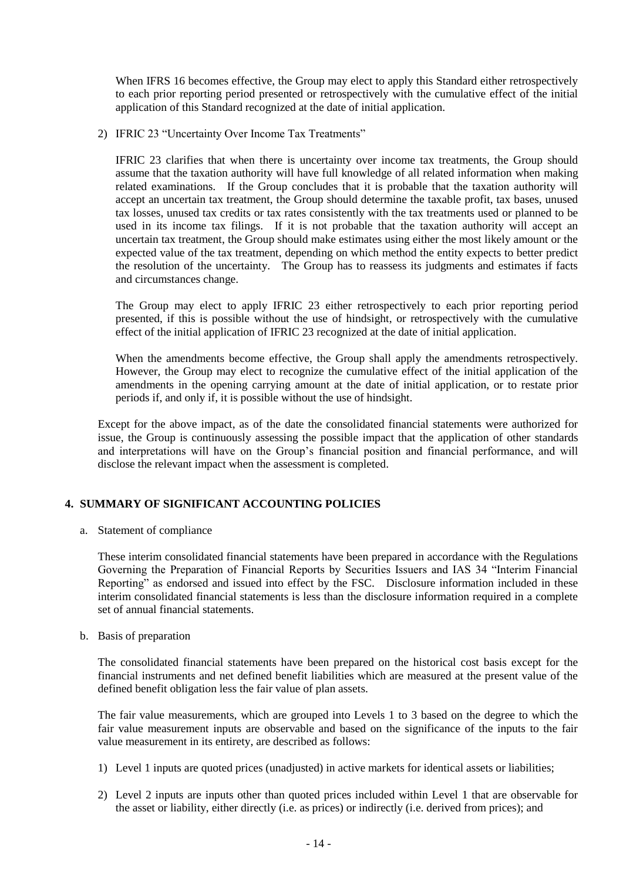When IFRS 16 becomes effective, the Group may elect to apply this Standard either retrospectively to each prior reporting period presented or retrospectively with the cumulative effect of the initial application of this Standard recognized at the date of initial application.

2) IFRIC 23 "Uncertainty Over Income Tax Treatments"

IFRIC 23 clarifies that when there is uncertainty over income tax treatments, the Group should assume that the taxation authority will have full knowledge of all related information when making related examinations. If the Group concludes that it is probable that the taxation authority will accept an uncertain tax treatment, the Group should determine the taxable profit, tax bases, unused tax losses, unused tax credits or tax rates consistently with the tax treatments used or planned to be used in its income tax filings. If it is not probable that the taxation authority will accept an uncertain tax treatment, the Group should make estimates using either the most likely amount or the expected value of the tax treatment, depending on which method the entity expects to better predict the resolution of the uncertainty. The Group has to reassess its judgments and estimates if facts and circumstances change.

The Group may elect to apply IFRIC 23 either retrospectively to each prior reporting period presented, if this is possible without the use of hindsight, or retrospectively with the cumulative effect of the initial application of IFRIC 23 recognized at the date of initial application.

When the amendments become effective, the Group shall apply the amendments retrospectively. However, the Group may elect to recognize the cumulative effect of the initial application of the amendments in the opening carrying amount at the date of initial application, or to restate prior periods if, and only if, it is possible without the use of hindsight.

Except for the above impact, as of the date the consolidated financial statements were authorized for issue, the Group is continuously assessing the possible impact that the application of other standards and interpretations will have on the Group's financial position and financial performance, and will disclose the relevant impact when the assessment is completed.

#### **4. SUMMARY OF SIGNIFICANT ACCOUNTING POLICIES**

a. Statement of compliance

These interim consolidated financial statements have been prepared in accordance with the Regulations Governing the Preparation of Financial Reports by Securities Issuers and IAS 34 "Interim Financial Reporting" as endorsed and issued into effect by the FSC. Disclosure information included in these interim consolidated financial statements is less than the disclosure information required in a complete set of annual financial statements.

#### b. Basis of preparation

The consolidated financial statements have been prepared on the historical cost basis except for the financial instruments and net defined benefit liabilities which are measured at the present value of the defined benefit obligation less the fair value of plan assets.

The fair value measurements, which are grouped into Levels 1 to 3 based on the degree to which the fair value measurement inputs are observable and based on the significance of the inputs to the fair value measurement in its entirety, are described as follows:

- 1) Level 1 inputs are quoted prices (unadjusted) in active markets for identical assets or liabilities;
- 2) Level 2 inputs are inputs other than quoted prices included within Level 1 that are observable for the asset or liability, either directly (i.e. as prices) or indirectly (i.e. derived from prices); and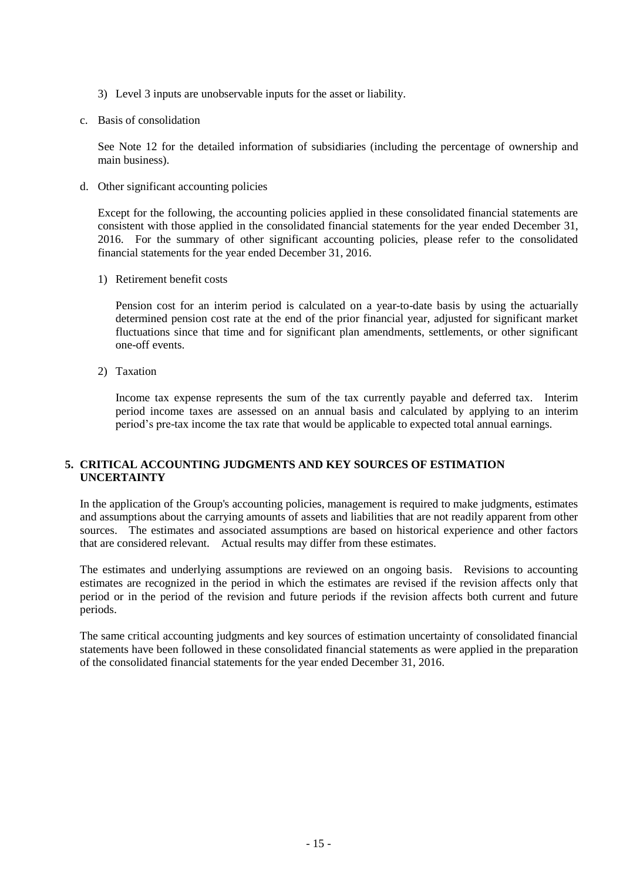- 3) Level 3 inputs are unobservable inputs for the asset or liability.
- c. Basis of consolidation

See Note 12 for the detailed information of subsidiaries (including the percentage of ownership and main business).

d. Other significant accounting policies

Except for the following, the accounting policies applied in these consolidated financial statements are consistent with those applied in the consolidated financial statements for the year ended December 31, 2016. For the summary of other significant accounting policies, please refer to the consolidated financial statements for the year ended December 31, 2016.

1) Retirement benefit costs

Pension cost for an interim period is calculated on a year-to-date basis by using the actuarially determined pension cost rate at the end of the prior financial year, adjusted for significant market fluctuations since that time and for significant plan amendments, settlements, or other significant one-off events.

2) Taxation

Income tax expense represents the sum of the tax currently payable and deferred tax. Interim period income taxes are assessed on an annual basis and calculated by applying to an interim period's pre-tax income the tax rate that would be applicable to expected total annual earnings.

#### **5. CRITICAL ACCOUNTING JUDGMENTS AND KEY SOURCES OF ESTIMATION UNCERTAINTY**

In the application of the Group's accounting policies, management is required to make judgments, estimates and assumptions about the carrying amounts of assets and liabilities that are not readily apparent from other sources. The estimates and associated assumptions are based on historical experience and other factors that are considered relevant. Actual results may differ from these estimates.

The estimates and underlying assumptions are reviewed on an ongoing basis. Revisions to accounting estimates are recognized in the period in which the estimates are revised if the revision affects only that period or in the period of the revision and future periods if the revision affects both current and future periods.

The same critical accounting judgments and key sources of estimation uncertainty of consolidated financial statements have been followed in these consolidated financial statements as were applied in the preparation of the consolidated financial statements for the year ended December 31, 2016.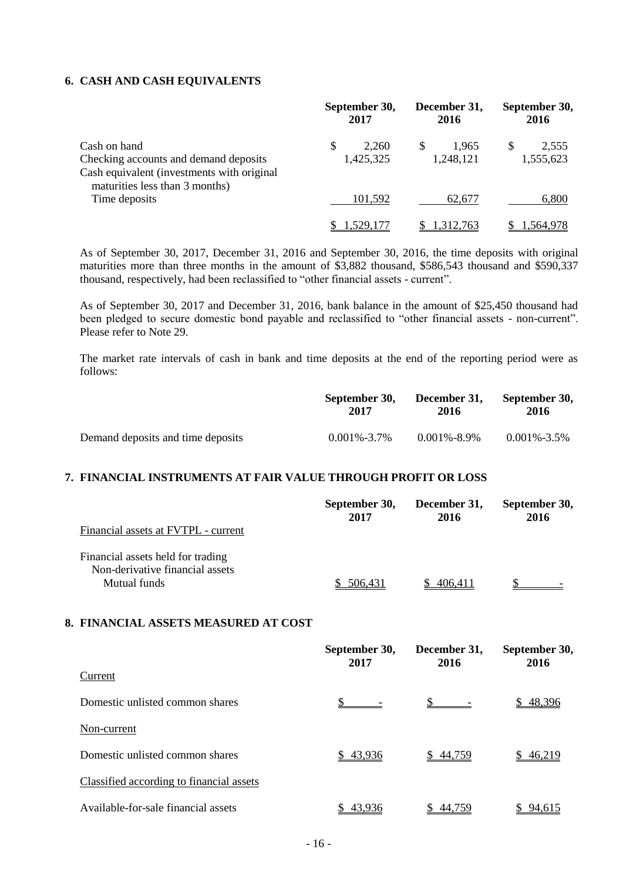#### **6. CASH AND CASH EQUIVALENTS**

|                                                                                                                                       |   | September 30,<br>2017 |   | December 31,<br>2016 | September 30,<br>2016 |                    |
|---------------------------------------------------------------------------------------------------------------------------------------|---|-----------------------|---|----------------------|-----------------------|--------------------|
| Cash on hand<br>Checking accounts and demand deposits<br>Cash equivalent (investments with original<br>maturities less than 3 months) | S | 2.260<br>1,425,325    | S | 1.965<br>1,248,121   | S                     | 2,555<br>1,555,623 |
| Time deposits                                                                                                                         |   | 101,592               |   | 62.677               |                       | 6,800              |
|                                                                                                                                       |   | .529.17               |   | 1.312.763            |                       | .564.978           |

As of September 30, 2017, December 31, 2016 and September 30, 2016, the time deposits with original maturities more than three months in the amount of \$3,882 thousand, \$586,543 thousand and \$590,337 thousand, respectively, had been reclassified to "other financial assets - current".

As of September 30, 2017 and December 31, 2016, bank balance in the amount of \$25,450 thousand had been pledged to secure domestic bond payable and reclassified to "other financial assets - non-current". Please refer to Note 29.

The market rate intervals of cash in bank and time deposits at the end of the reporting period were as follows:

|                                   | September 30,     | December 31.      | September 30,     |
|-----------------------------------|-------------------|-------------------|-------------------|
|                                   | 2017              | 2016              | 2016              |
| Demand deposits and time deposits | $0.001\% - 3.7\%$ | $0.001\% - 8.9\%$ | $0.001\% - 3.5\%$ |

#### **7. FINANCIAL INSTRUMENTS AT FAIR VALUE THROUGH PROFIT OR LOSS**

| Financial assets at FVTPL - current                                                  | September 30, | December 31, | September 30, |
|--------------------------------------------------------------------------------------|---------------|--------------|---------------|
|                                                                                      | 2017          | 2016         | 2016          |
| Financial assets held for trading<br>Non-derivative financial assets<br>Mutual funds | 506.431       | 406.411      |               |

#### **8. FINANCIAL ASSETS MEASURED AT COST**

|                                          | September 30,<br>2017 | December 31,<br>2016 | September 30,<br>2016 |
|------------------------------------------|-----------------------|----------------------|-----------------------|
| Current                                  |                       |                      |                       |
| Domestic unlisted common shares          |                       |                      | \$48,396              |
| Non-current                              |                       |                      |                       |
| Domestic unlisted common shares          | \$43,936              | \$44,759             | \$46,219              |
| Classified according to financial assets |                       |                      |                       |
| Available-for-sale financial assets      | 43.936                | 44.759               | 94,615                |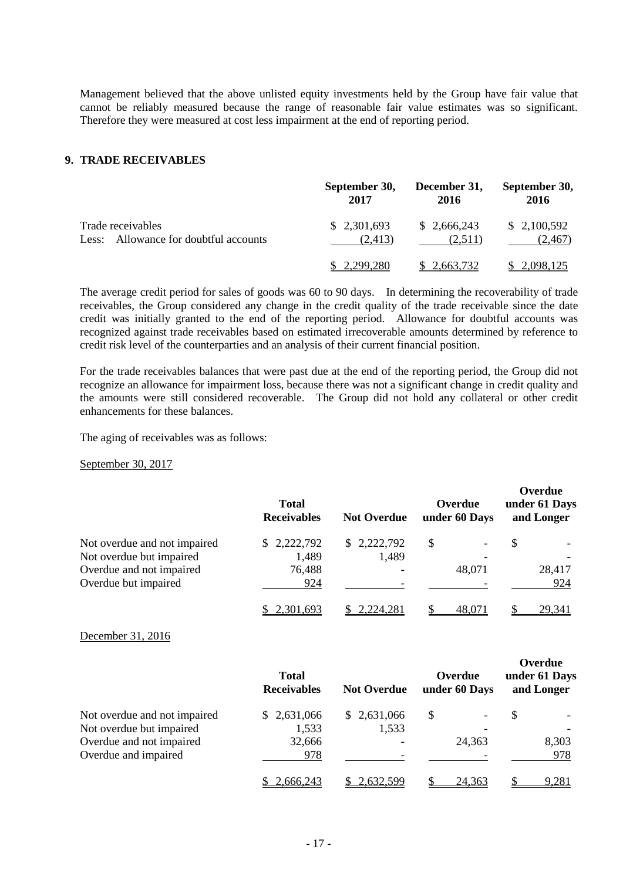Management believed that the above unlisted equity investments held by the Group have fair value that cannot be reliably measured because the range of reasonable fair value estimates was so significant. Therefore they were measured at cost less impairment at the end of reporting period.

#### **9. TRADE RECEIVABLES**

|                                       | September 30, | December 31, | September 30, |
|---------------------------------------|---------------|--------------|---------------|
|                                       | 2017          | 2016         | 2016          |
| Trade receivables                     | \$2,301,693   | \$2,666,243  | \$2,100,592   |
| Less: Allowance for doubtful accounts | (2.413)       | (2,511)      | (2, 467)      |
|                                       | \$2,299,280   | \$2.663.732  | \$2,098,125   |

The average credit period for sales of goods was 60 to 90 days. In determining the recoverability of trade receivables, the Group considered any change in the credit quality of the trade receivable since the date credit was initially granted to the end of the reporting period. Allowance for doubtful accounts was recognized against trade receivables based on estimated irrecoverable amounts determined by reference to credit risk level of the counterparties and an analysis of their current financial position.

For the trade receivables balances that were past due at the end of the reporting period, the Group did not recognize an allowance for impairment loss, because there was not a significant change in credit quality and the amounts were still considered recoverable. The Group did not hold any collateral or other credit enhancements for these balances.

The aging of receivables was as follows:

September 30, 2017

|                              | <b>Total</b><br><b>Receivables</b> | <b>Not Overdue</b> | Overdue<br>under 60 Days | Overdue<br>under 61 Days<br>and Longer |
|------------------------------|------------------------------------|--------------------|--------------------------|----------------------------------------|
| Not overdue and not impaired | \$2,222,792                        | \$2,222,792        | S                        | S                                      |
| Not overdue but impaired     | 1,489                              | 1,489              |                          |                                        |
| Overdue and not impaired     | 76,488                             |                    | 48,071                   | 28,417                                 |
| Overdue but impaired         | 924                                |                    |                          | 924                                    |
|                              | 2,301,693                          | 2,224,281          | 48,071                   | 29,341                                 |

December 31, 2016

|                              | <b>Total</b><br><b>Receivables</b> | <b>Not Overdue</b>       | Overdue<br>under 60 Days | Over uuc<br>under 61 Days<br>and Longer |
|------------------------------|------------------------------------|--------------------------|--------------------------|-----------------------------------------|
| Not overdue and not impaired | \$2,631,066                        | \$2,631,066              | S                        | S                                       |
| Not overdue but impaired     | 1,533                              | 1,533                    |                          |                                         |
| Overdue and not impaired     | 32,666                             |                          | 24,363                   | 8,303                                   |
| Overdue and impaired         | 978                                | $\overline{\phantom{0}}$ |                          | 978                                     |
|                              | 2,666,243                          | <u>2,632,599</u>         | 24,363                   | 9,281                                   |

**Overdue**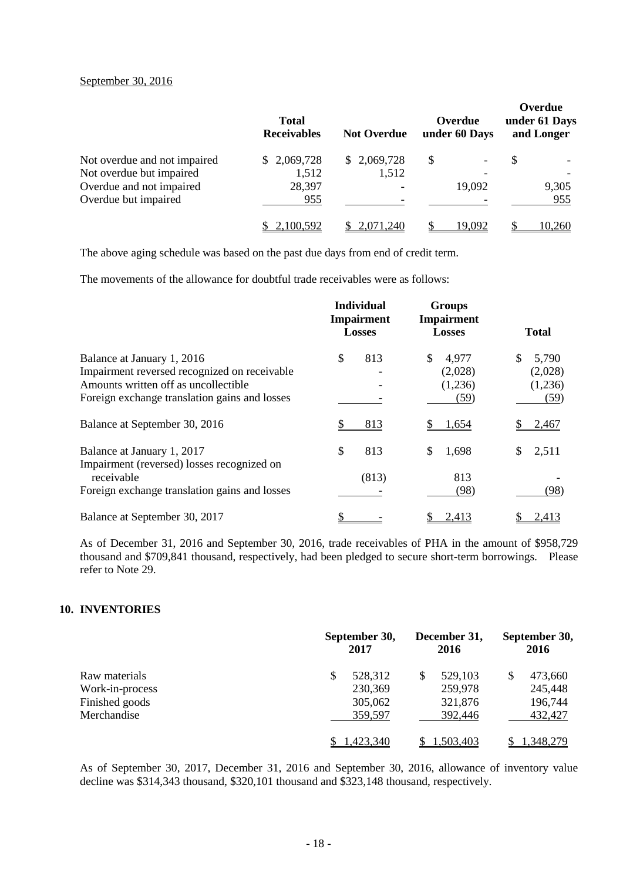#### September 30, 2016

|                              | <b>Total</b><br><b>Receivables</b> | <b>Not Overdue</b> | Overdue<br>under 60 Days | Overdue<br>under 61 Days<br>and Longer |
|------------------------------|------------------------------------|--------------------|--------------------------|----------------------------------------|
| Not overdue and not impaired | \$2,069,728                        | \$2,069,728        | S<br>Ξ.                  | \$                                     |
| Not overdue but impaired     | 1,512                              | 1,512              |                          |                                        |
| Overdue and not impaired     | 28,397                             |                    | 19,092                   | 9,305                                  |
| Overdue but impaired         | 955                                |                    |                          | 955                                    |
|                              | 2,100,592                          | .071.240           | 19.092                   | 10.260                                 |

The above aging schedule was based on the past due days from end of credit term.

The movements of the allowance for doubtful trade receivables were as follows:

|                                                          | <b>Individual</b><br><b>Impairment</b><br><b>Losses</b> | <b>Groups</b><br>Impairment<br><b>Losses</b> | <b>Total</b> |
|----------------------------------------------------------|---------------------------------------------------------|----------------------------------------------|--------------|
| Balance at January 1, 2016                               | \$<br>813                                               | 4,977<br>\$                                  | 5,790<br>S   |
| Impairment reversed recognized on receivable             |                                                         | (2,028)                                      | (2,028)      |
| Amounts written off as uncollectible                     |                                                         | (1,236)                                      | (1,236)      |
| Foreign exchange translation gains and losses            |                                                         | (59)                                         | (59)         |
| Balance at September 30, 2016                            | 813                                                     | 1,654                                        | 2,467        |
| Balance at January 1, 2017                               | \$<br>813                                               | 1,698<br>S                                   | 2,511<br>S   |
| Impairment (reversed) losses recognized on<br>receivable | (813)                                                   | 813                                          |              |
| Foreign exchange translation gains and losses            |                                                         | (98)                                         | (98)         |
| Balance at September 30, 2017                            |                                                         | 2,413                                        | 2,413        |

As of December 31, 2016 and September 30, 2016, trade receivables of PHA in the amount of \$958,729 thousand and \$709,841 thousand, respectively, had been pledged to secure short-term borrowings. Please refer to Note 29.

#### **10. INVENTORIES**

|                                                                   | September 30,<br>2017                          | December 31,<br>2016                     | September 30,<br>2016                    |
|-------------------------------------------------------------------|------------------------------------------------|------------------------------------------|------------------------------------------|
| Raw materials<br>Work-in-process<br>Finished goods<br>Merchandise | \$<br>528,312<br>230,369<br>305,062<br>359,597 | 529,103<br>259,978<br>321,876<br>392,446 | 473,660<br>245,448<br>196,744<br>432,427 |
|                                                                   | ,423,340                                       | 1.503.403                                | 1.348.279                                |

As of September 30, 2017, December 31, 2016 and September 30, 2016, allowance of inventory value decline was \$314,343 thousand, \$320,101 thousand and \$323,148 thousand, respectively.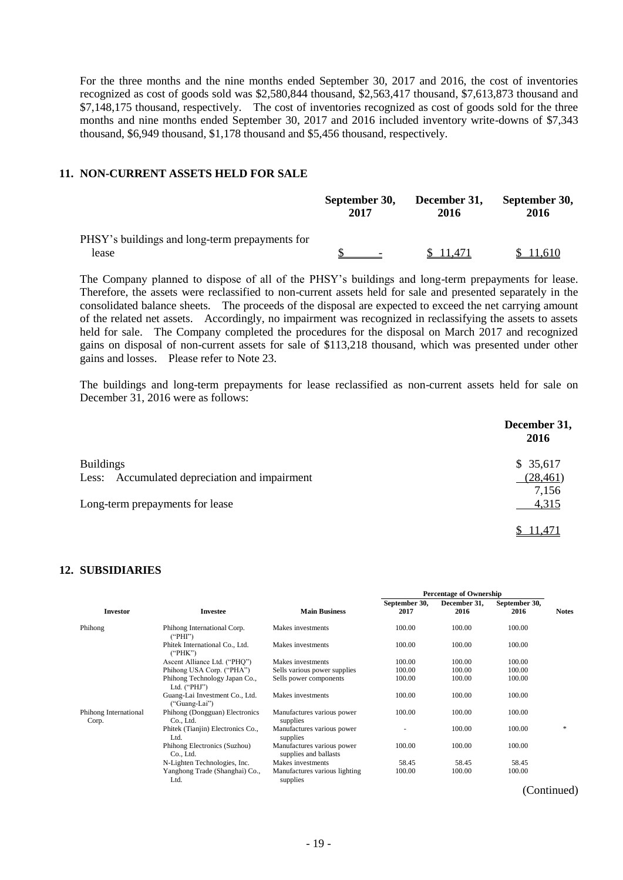For the three months and the nine months ended September 30, 2017 and 2016, the cost of inventories recognized as cost of goods sold was \$2,580,844 thousand, \$2,563,417 thousand, \$7,613,873 thousand and \$7,148,175 thousand, respectively. The cost of inventories recognized as cost of goods sold for the three months and nine months ended September 30, 2017 and 2016 included inventory write-downs of \$7,343 thousand, \$6,949 thousand, \$1,178 thousand and \$5,456 thousand, respectively.

#### **11. NON-CURRENT ASSETS HELD FOR SALE**

|                                                         | September 30,            | December 31, | September 30, |
|---------------------------------------------------------|--------------------------|--------------|---------------|
|                                                         | 2017                     | 2016         | 2016          |
| PHSY's buildings and long-term prepayments for<br>lease | $\overline{\phantom{0}}$ | 11.471       | 1,610         |

The Company planned to dispose of all of the PHSY's buildings and long-term prepayments for lease. Therefore, the assets were reclassified to non-current assets held for sale and presented separately in the consolidated balance sheets. The proceeds of the disposal are expected to exceed the net carrying amount of the related net assets. Accordingly, no impairment was recognized in reclassifying the assets to assets held for sale. The Company completed the procedures for the disposal on March 2017 and recognized gains on disposal of non-current assets for sale of \$113,218 thousand, which was presented under other gains and losses. Please refer to Note 23.

The buildings and long-term prepayments for lease reclassified as non-current assets held for sale on December 31, 2016 were as follows:

|                                               | December 31,<br>2016 |
|-----------------------------------------------|----------------------|
| <b>Buildings</b>                              | \$35,617             |
| Less: Accumulated depreciation and impairment | (28, 461)            |
|                                               | 7,156                |
| Long-term prepayments for lease               | 4,315                |
|                                               | 11.471               |

#### **12. SUBSIDIARIES**

|                                |                                                 |                                                     |               | <b>Percentage of Ownership</b> |               |              |
|--------------------------------|-------------------------------------------------|-----------------------------------------------------|---------------|--------------------------------|---------------|--------------|
|                                |                                                 |                                                     | September 30, | December 31,                   | September 30, |              |
| <b>Investor</b>                | Investee                                        | <b>Main Business</b>                                | 2017          | 2016                           | 2016          | <b>Notes</b> |
| Phihong                        | Phihong International Corp.<br>("PHI")          | Makes investments                                   | 100.00        | 100.00                         | 100.00        |              |
|                                | Phitek International Co., Ltd.<br>("PHK")       | Makes investments                                   | 100.00        | 100.00                         | 100.00        |              |
|                                | Ascent Alliance Ltd. ("PHQ")                    | Makes investments                                   | 100.00        | 100.00                         | 100.00        |              |
|                                | Phihong USA Corp. ("PHA")                       | Sells various power supplies                        | 100.00        | 100.00                         | 100.00        |              |
|                                | Phihong Technology Japan Co.,<br>Ltd. $("PHJ")$ | Sells power components                              | 100.00        | 100.00                         | 100.00        |              |
|                                | Guang-Lai Investment Co., Ltd.<br>("Guang-Lai") | Makes investments                                   | 100.00        | 100.00                         | 100.00        |              |
| Phihong International<br>Corp. | Phihong (Dongguan) Electronics<br>Co., Ltd.     | Manufactures various power<br>supplies              | 100.00        | 100.00                         | 100.00        |              |
|                                | Phitek (Tianjin) Electronics Co.,<br>Ltd.       | Manufactures various power<br>supplies              |               | 100.00                         | 100.00        | $*$          |
|                                | Phihong Electronics (Suzhou)<br>Co., Ltd.       | Manufactures various power<br>supplies and ballasts | 100.00        | 100.00                         | 100.00        |              |
|                                | N-Lighten Technologies, Inc.                    | Makes investments                                   | 58.45         | 58.45                          | 58.45         |              |
|                                | Yanghong Trade (Shanghai) Co.,<br>Ltd.          | Manufactures various lighting<br>supplies           | 100.00        | 100.00                         | 100.00        |              |

(Continued)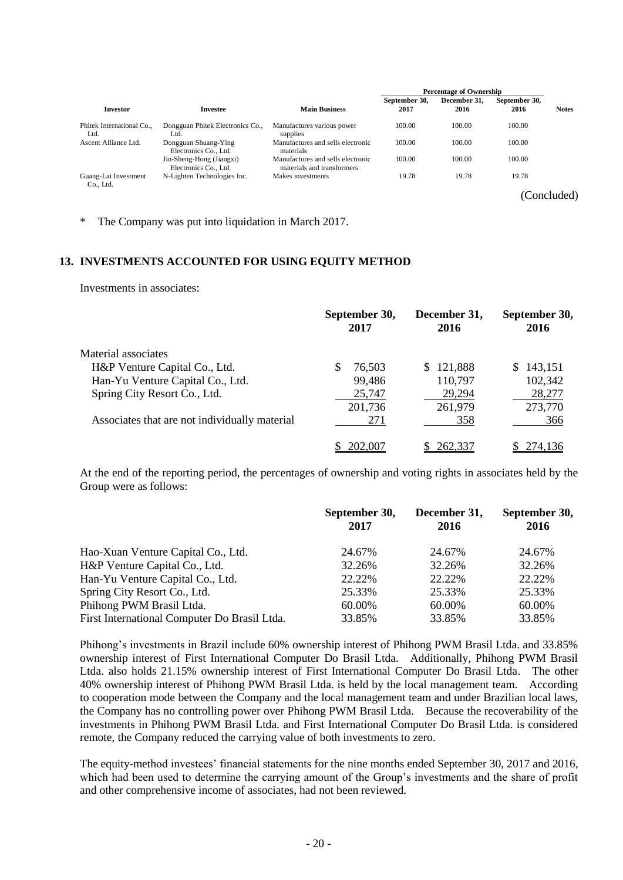|                                   |                                                   |                                                                 |                       | <b>Percentage of Ownership</b> |                       |              |
|-----------------------------------|---------------------------------------------------|-----------------------------------------------------------------|-----------------------|--------------------------------|-----------------------|--------------|
| <b>Investor</b>                   | Investee                                          | <b>Main Business</b>                                            | September 30.<br>2017 | December 31.<br>2016           | September 30.<br>2016 | <b>Notes</b> |
| Phitek International Co.,<br>Ltd. | Dongguan Phitek Electronics Co.,<br>Ltd.          | Manufactures various power<br>supplies                          | 100.00                | 100.00                         | 100.00                |              |
| Ascent Alliance Ltd.              | Dongguan Shuang-Ying<br>Electronics Co., Ltd.     | Manufactures and sells electronic<br>materials                  | 100.00                | 100.00                         | 100.00                |              |
|                                   | Jin-Sheng-Hong (Jiangxi)<br>Electronics Co., Ltd. | Manufactures and sells electronic<br>materials and transformers | 100.00                | 100.00                         | 100.00                |              |
| Guang-Lai Investment<br>Co., Ltd. | N-Lighten Technologies Inc.                       | Makes investments                                               | 19.78                 | 19.78                          | 19.78                 |              |

(Concluded)

\* The Company was put into liquidation in March 2017.

#### **13. INVESTMENTS ACCOUNTED FOR USING EQUITY METHOD**

Investments in associates:

|                                               | September 30,<br>2017 | December 31,<br>2016 | September 30,<br>2016 |
|-----------------------------------------------|-----------------------|----------------------|-----------------------|
| Material associates                           |                       |                      |                       |
| H&P Venture Capital Co., Ltd.                 | 76,503                | 121,888<br>S.        | \$143,151             |
| Han-Yu Venture Capital Co., Ltd.              | 99,486                | 110,797              | 102,342               |
| Spring City Resort Co., Ltd.                  | 25,747                | 29,294               | 28,277                |
|                                               | 201,736               | 261,979              | 273,770               |
| Associates that are not individually material | 271                   | 358                  | 366                   |
|                                               | 202.007               | 262.337              | 274.136               |

At the end of the reporting period, the percentages of ownership and voting rights in associates held by the Group were as follows:

|                                              | September 30,<br>2017 | December 31,<br>2016 | September 30,<br>2016 |
|----------------------------------------------|-----------------------|----------------------|-----------------------|
| Hao-Xuan Venture Capital Co., Ltd.           | 24.67%                | 24.67%               | 24.67%                |
| H&P Venture Capital Co., Ltd.                | 32.26%                | 32.26%               | 32.26%                |
| Han-Yu Venture Capital Co., Ltd.             | 22.22\%               | 22.22\%              | 22.22%                |
| Spring City Resort Co., Ltd.                 | 25.33%                | 25.33%               | 25.33%                |
| Phihong PWM Brasil Ltda.                     | 60.00%                | 60.00%               | 60.00%                |
| First International Computer Do Brasil Ltda. | 33.85%                | 33.85%               | 33.85%                |

Phihong's investments in Brazil include 60% ownership interest of Phihong PWM Brasil Ltda. and 33.85% ownership interest of First International Computer Do Brasil Ltda. Additionally, Phihong PWM Brasil Ltda. also holds 21.15% ownership interest of First International Computer Do Brasil Ltda. The other 40% ownership interest of Phihong PWM Brasil Ltda. is held by the local management team. According to cooperation mode between the Company and the local management team and under Brazilian local laws, the Company has no controlling power over Phihong PWM Brasil Ltda. Because the recoverability of the investments in Phihong PWM Brasil Ltda. and First International Computer Do Brasil Ltda. is considered remote, the Company reduced the carrying value of both investments to zero.

The equity-method investees' financial statements for the nine months ended September 30, 2017 and 2016, which had been used to determine the carrying amount of the Group's investments and the share of profit and other comprehensive income of associates, had not been reviewed.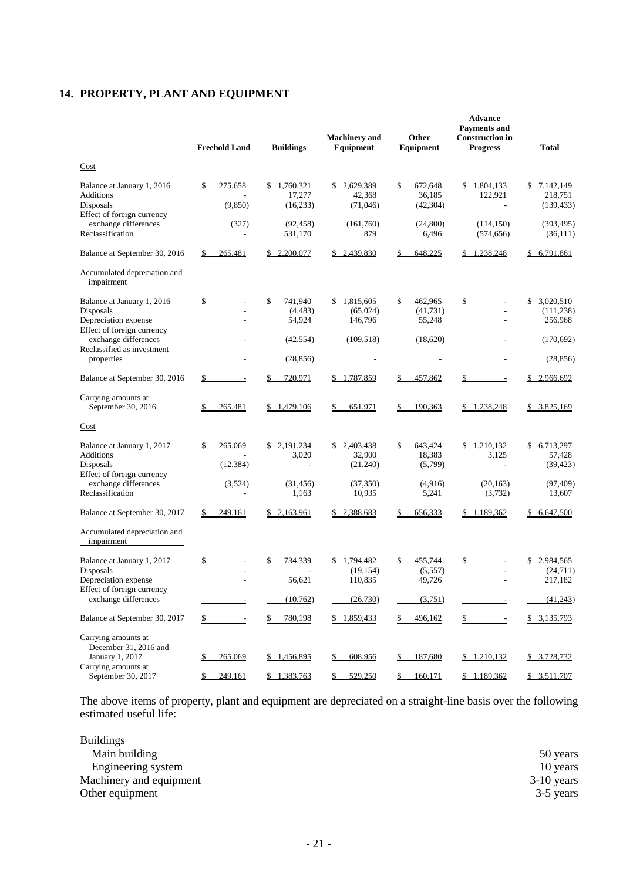# **14. PROPERTY, PLANT AND EQUIPMENT**

| Cost<br>2,629,389<br>\$<br>\$1,804,133<br>\$7,142,149<br>Balance at January 1, 2016<br>\$<br>275,658<br>1,760,321<br>\$<br>672,648<br>\$<br><b>Additions</b><br>17,277<br>36,185<br>122,921<br>218,751<br>42,368<br>Disposals<br>(9, 850)<br>(16, 233)<br>(71,046)<br>(42, 304)<br>(139, 433)<br>Effect of foreign currency<br>exchange differences<br>(327)<br>(92, 458)<br>(161,760)<br>(24, 800)<br>(114, 150)<br>(393, 495)<br>Reclassification<br>879<br>6,496<br>531,170<br>(574, 656)<br>(36,111)<br>Ŀ<br>\$6,791,861<br>Balance at September 30, 2016<br>265,481<br>\$2,200,077<br>\$2,439,830<br>648,225<br>\$1,238,248<br>\$<br>Accumulated depreciation and<br>impairment<br>\$<br>\$<br>\$<br>\$<br>\$3,020,510<br>Balance at January 1, 2016<br>741,940<br>\$<br>1,815,605<br>462,965<br>Disposals<br>(4, 483)<br>(65,024)<br>(41,731)<br>(111, 238)<br>Depreciation expense<br>54,924<br>146,796<br>55,248<br>256,968<br>Effect of foreign currency<br>exchange differences<br>(42, 554)<br>(109, 518)<br>(18,620)<br>(170,692)<br>Reclassified as investment<br>properties<br>(28, 856)<br>(28, 856)<br>Balance at September 30, 2016<br>720,971<br>457,862<br>\$2,966,692<br>\$<br>\$1,787,859<br>\$<br>\$<br>Carrying amounts at<br>September 30, 2016<br>265,481<br>\$1,479,106<br>651,971<br>190,363<br>\$1,238,248<br>\$3,825,169<br>\$<br>Cost<br>\$<br>\$1,210,132<br>\$6,713,297<br>Balance at January 1, 2017<br>\$<br>265,069<br>\$2,191,234<br>2,403,438<br>643,424<br>\$<br><b>Additions</b><br>3,020<br>32,900<br>18,383<br>3,125<br>57,428<br>Disposals<br>(12, 384)<br>(21,240)<br>(5,799)<br>(39, 423)<br>÷,<br>÷,<br>Effect of foreign currency<br>exchange differences<br>(3,524)<br>(31, 456)<br>(4,916)<br>(20, 163)<br>(97, 409)<br>(37,350)<br>Reclassification<br>1,163<br>10,935<br>5,241<br>(3,732)<br>13,607<br>Balance at September 30, 2017<br>249,161<br>\$2,163,961<br>\$2,388,683<br>656,333<br>\$1,189,362<br>\$6,647,500<br>S.<br>S<br>Accumulated depreciation and<br>impairment<br>\$<br>\$<br>\$<br>Balance at January 1, 2017<br>734.339<br>1,794,482<br>455,744<br>\$<br>\$<br>2,984,565<br>Disposals<br>(19, 154)<br>(5,557)<br>(24, 711)<br>Depreciation expense<br>56,621<br>110,835<br>49,726<br>217,182<br>Effect of foreign currency<br>exchange differences<br>(10,762)<br>(26, 730)<br>(3,751)<br>(41, 243)<br>$\overline{\phantom{a}}$<br>780,198<br>Balance at September 30, 2017<br>\$1,859,433<br>496,162<br>\$3,135,793<br>\$_<br>$\mathsf{S}$<br>\$<br>\$<br>$\sim$ 100 $\pm$<br>$\equiv$<br>Carrying amounts at<br>December 31, 2016 and<br>January 1, 2017<br>265,069<br>608,956<br>187,680<br>\$1,210,132<br>\$ 3,728,732<br><u>\$1,456,895</u><br>\$<br>S.<br>Carrying amounts at<br>September 30, 2017<br>249,161<br>\$1,383,763<br>529,250<br>160,171<br>\$1,189,362<br>\$3,511,707<br>\$<br>S | <b>Freehold Land</b> | <b>Buildings</b> | <b>Machinery</b> and<br>Equipment | Other<br>Equipment | <b>Advance</b><br><b>Payments and</b><br><b>Construction in</b><br><b>Progress</b> | <b>Total</b> |
|-------------------------------------------------------------------------------------------------------------------------------------------------------------------------------------------------------------------------------------------------------------------------------------------------------------------------------------------------------------------------------------------------------------------------------------------------------------------------------------------------------------------------------------------------------------------------------------------------------------------------------------------------------------------------------------------------------------------------------------------------------------------------------------------------------------------------------------------------------------------------------------------------------------------------------------------------------------------------------------------------------------------------------------------------------------------------------------------------------------------------------------------------------------------------------------------------------------------------------------------------------------------------------------------------------------------------------------------------------------------------------------------------------------------------------------------------------------------------------------------------------------------------------------------------------------------------------------------------------------------------------------------------------------------------------------------------------------------------------------------------------------------------------------------------------------------------------------------------------------------------------------------------------------------------------------------------------------------------------------------------------------------------------------------------------------------------------------------------------------------------------------------------------------------------------------------------------------------------------------------------------------------------------------------------------------------------------------------------------------------------------------------------------------------------------------------------------------------------------------------------------------------------------------------------------------------------------------------------------------------------------------------------------------------------------------------------------------------------------------------------------------------------------------------------------------------------------------------------------------------------|----------------------|------------------|-----------------------------------|--------------------|------------------------------------------------------------------------------------|--------------|
|                                                                                                                                                                                                                                                                                                                                                                                                                                                                                                                                                                                                                                                                                                                                                                                                                                                                                                                                                                                                                                                                                                                                                                                                                                                                                                                                                                                                                                                                                                                                                                                                                                                                                                                                                                                                                                                                                                                                                                                                                                                                                                                                                                                                                                                                                                                                                                                                                                                                                                                                                                                                                                                                                                                                                                                                                                                                         |                      |                  |                                   |                    |                                                                                    |              |
|                                                                                                                                                                                                                                                                                                                                                                                                                                                                                                                                                                                                                                                                                                                                                                                                                                                                                                                                                                                                                                                                                                                                                                                                                                                                                                                                                                                                                                                                                                                                                                                                                                                                                                                                                                                                                                                                                                                                                                                                                                                                                                                                                                                                                                                                                                                                                                                                                                                                                                                                                                                                                                                                                                                                                                                                                                                                         |                      |                  |                                   |                    |                                                                                    |              |
|                                                                                                                                                                                                                                                                                                                                                                                                                                                                                                                                                                                                                                                                                                                                                                                                                                                                                                                                                                                                                                                                                                                                                                                                                                                                                                                                                                                                                                                                                                                                                                                                                                                                                                                                                                                                                                                                                                                                                                                                                                                                                                                                                                                                                                                                                                                                                                                                                                                                                                                                                                                                                                                                                                                                                                                                                                                                         |                      |                  |                                   |                    |                                                                                    |              |
|                                                                                                                                                                                                                                                                                                                                                                                                                                                                                                                                                                                                                                                                                                                                                                                                                                                                                                                                                                                                                                                                                                                                                                                                                                                                                                                                                                                                                                                                                                                                                                                                                                                                                                                                                                                                                                                                                                                                                                                                                                                                                                                                                                                                                                                                                                                                                                                                                                                                                                                                                                                                                                                                                                                                                                                                                                                                         |                      |                  |                                   |                    |                                                                                    |              |
|                                                                                                                                                                                                                                                                                                                                                                                                                                                                                                                                                                                                                                                                                                                                                                                                                                                                                                                                                                                                                                                                                                                                                                                                                                                                                                                                                                                                                                                                                                                                                                                                                                                                                                                                                                                                                                                                                                                                                                                                                                                                                                                                                                                                                                                                                                                                                                                                                                                                                                                                                                                                                                                                                                                                                                                                                                                                         |                      |                  |                                   |                    |                                                                                    |              |
|                                                                                                                                                                                                                                                                                                                                                                                                                                                                                                                                                                                                                                                                                                                                                                                                                                                                                                                                                                                                                                                                                                                                                                                                                                                                                                                                                                                                                                                                                                                                                                                                                                                                                                                                                                                                                                                                                                                                                                                                                                                                                                                                                                                                                                                                                                                                                                                                                                                                                                                                                                                                                                                                                                                                                                                                                                                                         |                      |                  |                                   |                    |                                                                                    |              |
|                                                                                                                                                                                                                                                                                                                                                                                                                                                                                                                                                                                                                                                                                                                                                                                                                                                                                                                                                                                                                                                                                                                                                                                                                                                                                                                                                                                                                                                                                                                                                                                                                                                                                                                                                                                                                                                                                                                                                                                                                                                                                                                                                                                                                                                                                                                                                                                                                                                                                                                                                                                                                                                                                                                                                                                                                                                                         |                      |                  |                                   |                    |                                                                                    |              |
|                                                                                                                                                                                                                                                                                                                                                                                                                                                                                                                                                                                                                                                                                                                                                                                                                                                                                                                                                                                                                                                                                                                                                                                                                                                                                                                                                                                                                                                                                                                                                                                                                                                                                                                                                                                                                                                                                                                                                                                                                                                                                                                                                                                                                                                                                                                                                                                                                                                                                                                                                                                                                                                                                                                                                                                                                                                                         |                      |                  |                                   |                    |                                                                                    |              |
|                                                                                                                                                                                                                                                                                                                                                                                                                                                                                                                                                                                                                                                                                                                                                                                                                                                                                                                                                                                                                                                                                                                                                                                                                                                                                                                                                                                                                                                                                                                                                                                                                                                                                                                                                                                                                                                                                                                                                                                                                                                                                                                                                                                                                                                                                                                                                                                                                                                                                                                                                                                                                                                                                                                                                                                                                                                                         |                      |                  |                                   |                    |                                                                                    |              |
|                                                                                                                                                                                                                                                                                                                                                                                                                                                                                                                                                                                                                                                                                                                                                                                                                                                                                                                                                                                                                                                                                                                                                                                                                                                                                                                                                                                                                                                                                                                                                                                                                                                                                                                                                                                                                                                                                                                                                                                                                                                                                                                                                                                                                                                                                                                                                                                                                                                                                                                                                                                                                                                                                                                                                                                                                                                                         |                      |                  |                                   |                    |                                                                                    |              |
|                                                                                                                                                                                                                                                                                                                                                                                                                                                                                                                                                                                                                                                                                                                                                                                                                                                                                                                                                                                                                                                                                                                                                                                                                                                                                                                                                                                                                                                                                                                                                                                                                                                                                                                                                                                                                                                                                                                                                                                                                                                                                                                                                                                                                                                                                                                                                                                                                                                                                                                                                                                                                                                                                                                                                                                                                                                                         |                      |                  |                                   |                    |                                                                                    |              |
|                                                                                                                                                                                                                                                                                                                                                                                                                                                                                                                                                                                                                                                                                                                                                                                                                                                                                                                                                                                                                                                                                                                                                                                                                                                                                                                                                                                                                                                                                                                                                                                                                                                                                                                                                                                                                                                                                                                                                                                                                                                                                                                                                                                                                                                                                                                                                                                                                                                                                                                                                                                                                                                                                                                                                                                                                                                                         |                      |                  |                                   |                    |                                                                                    |              |
|                                                                                                                                                                                                                                                                                                                                                                                                                                                                                                                                                                                                                                                                                                                                                                                                                                                                                                                                                                                                                                                                                                                                                                                                                                                                                                                                                                                                                                                                                                                                                                                                                                                                                                                                                                                                                                                                                                                                                                                                                                                                                                                                                                                                                                                                                                                                                                                                                                                                                                                                                                                                                                                                                                                                                                                                                                                                         |                      |                  |                                   |                    |                                                                                    |              |
|                                                                                                                                                                                                                                                                                                                                                                                                                                                                                                                                                                                                                                                                                                                                                                                                                                                                                                                                                                                                                                                                                                                                                                                                                                                                                                                                                                                                                                                                                                                                                                                                                                                                                                                                                                                                                                                                                                                                                                                                                                                                                                                                                                                                                                                                                                                                                                                                                                                                                                                                                                                                                                                                                                                                                                                                                                                                         |                      |                  |                                   |                    |                                                                                    |              |
|                                                                                                                                                                                                                                                                                                                                                                                                                                                                                                                                                                                                                                                                                                                                                                                                                                                                                                                                                                                                                                                                                                                                                                                                                                                                                                                                                                                                                                                                                                                                                                                                                                                                                                                                                                                                                                                                                                                                                                                                                                                                                                                                                                                                                                                                                                                                                                                                                                                                                                                                                                                                                                                                                                                                                                                                                                                                         |                      |                  |                                   |                    |                                                                                    |              |
|                                                                                                                                                                                                                                                                                                                                                                                                                                                                                                                                                                                                                                                                                                                                                                                                                                                                                                                                                                                                                                                                                                                                                                                                                                                                                                                                                                                                                                                                                                                                                                                                                                                                                                                                                                                                                                                                                                                                                                                                                                                                                                                                                                                                                                                                                                                                                                                                                                                                                                                                                                                                                                                                                                                                                                                                                                                                         |                      |                  |                                   |                    |                                                                                    |              |
|                                                                                                                                                                                                                                                                                                                                                                                                                                                                                                                                                                                                                                                                                                                                                                                                                                                                                                                                                                                                                                                                                                                                                                                                                                                                                                                                                                                                                                                                                                                                                                                                                                                                                                                                                                                                                                                                                                                                                                                                                                                                                                                                                                                                                                                                                                                                                                                                                                                                                                                                                                                                                                                                                                                                                                                                                                                                         |                      |                  |                                   |                    |                                                                                    |              |
|                                                                                                                                                                                                                                                                                                                                                                                                                                                                                                                                                                                                                                                                                                                                                                                                                                                                                                                                                                                                                                                                                                                                                                                                                                                                                                                                                                                                                                                                                                                                                                                                                                                                                                                                                                                                                                                                                                                                                                                                                                                                                                                                                                                                                                                                                                                                                                                                                                                                                                                                                                                                                                                                                                                                                                                                                                                                         |                      |                  |                                   |                    |                                                                                    |              |
|                                                                                                                                                                                                                                                                                                                                                                                                                                                                                                                                                                                                                                                                                                                                                                                                                                                                                                                                                                                                                                                                                                                                                                                                                                                                                                                                                                                                                                                                                                                                                                                                                                                                                                                                                                                                                                                                                                                                                                                                                                                                                                                                                                                                                                                                                                                                                                                                                                                                                                                                                                                                                                                                                                                                                                                                                                                                         |                      |                  |                                   |                    |                                                                                    |              |
|                                                                                                                                                                                                                                                                                                                                                                                                                                                                                                                                                                                                                                                                                                                                                                                                                                                                                                                                                                                                                                                                                                                                                                                                                                                                                                                                                                                                                                                                                                                                                                                                                                                                                                                                                                                                                                                                                                                                                                                                                                                                                                                                                                                                                                                                                                                                                                                                                                                                                                                                                                                                                                                                                                                                                                                                                                                                         |                      |                  |                                   |                    |                                                                                    |              |

The above items of property, plant and equipment are depreciated on a straight-line basis over the following estimated useful life:

| 50 years     |
|--------------|
| 10 years     |
| $3-10$ years |
| 3-5 years    |
|              |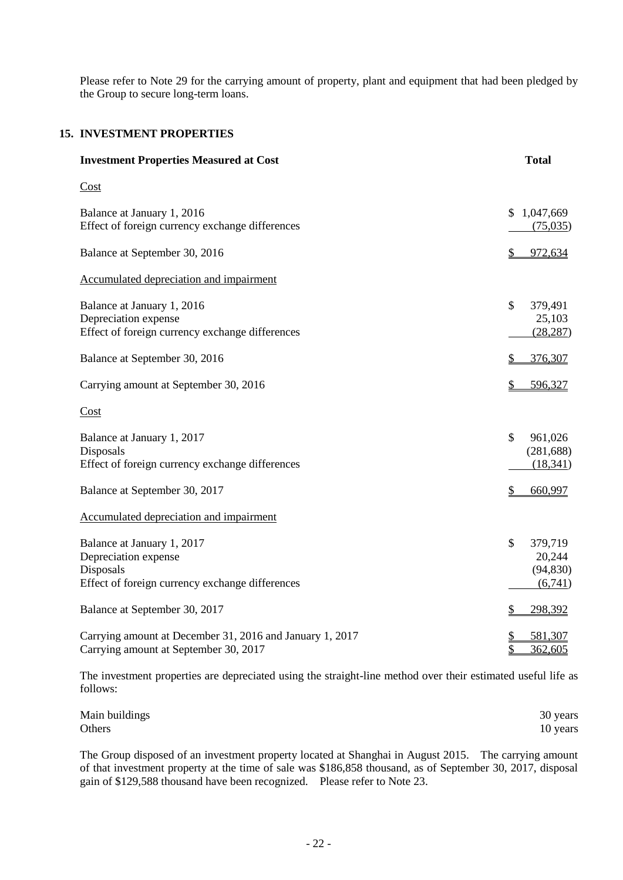Please refer to Note 29 for the carrying amount of property, plant and equipment that had been pledged by the Group to secure long-term loans.

#### **15. INVESTMENT PROPERTIES**

| <b>Investment Properties Measured at Cost</b>                                                                      | <b>Total</b>                                               |
|--------------------------------------------------------------------------------------------------------------------|------------------------------------------------------------|
| Cost                                                                                                               |                                                            |
| Balance at January 1, 2016<br>Effect of foreign currency exchange differences                                      | 1,047,669<br>\$.<br>(75,035)                               |
| Balance at September 30, 2016                                                                                      | 972,634<br>\$                                              |
| Accumulated depreciation and impairment                                                                            |                                                            |
| Balance at January 1, 2016<br>Depreciation expense<br>Effect of foreign currency exchange differences              | $\mathcal{S}$<br>379,491<br>25,103<br>(28, 287)            |
| Balance at September 30, 2016                                                                                      | 376,307                                                    |
| Carrying amount at September 30, 2016                                                                              | 596,327<br>\$                                              |
| Cost                                                                                                               |                                                            |
| Balance at January 1, 2017<br>Disposals<br>Effect of foreign currency exchange differences                         | \$<br>961,026<br>(281, 688)<br>(18, 341)                   |
| Balance at September 30, 2017                                                                                      | 660,997<br>S                                               |
| Accumulated depreciation and impairment                                                                            |                                                            |
| Balance at January 1, 2017<br>Depreciation expense<br>Disposals<br>Effect of foreign currency exchange differences | $\mathcal{S}$<br>379,719<br>20,244<br>(94, 830)<br>(6,741) |
| Balance at September 30, 2017                                                                                      | 298,392<br>S                                               |
| Carrying amount at December 31, 2016 and January 1, 2017<br>Carrying amount at September 30, 2017                  | 581,307<br>\$<br>362,605                                   |

The investment properties are depreciated using the straight-line method over their estimated useful life as follows:

| Main buildings | 30 years |
|----------------|----------|
| Others         | 10 years |

The Group disposed of an investment property located at Shanghai in August 2015. The carrying amount of that investment property at the time of sale was \$186,858 thousand, as of September 30, 2017, disposal gain of \$129,588 thousand have been recognized. Please refer to Note 23.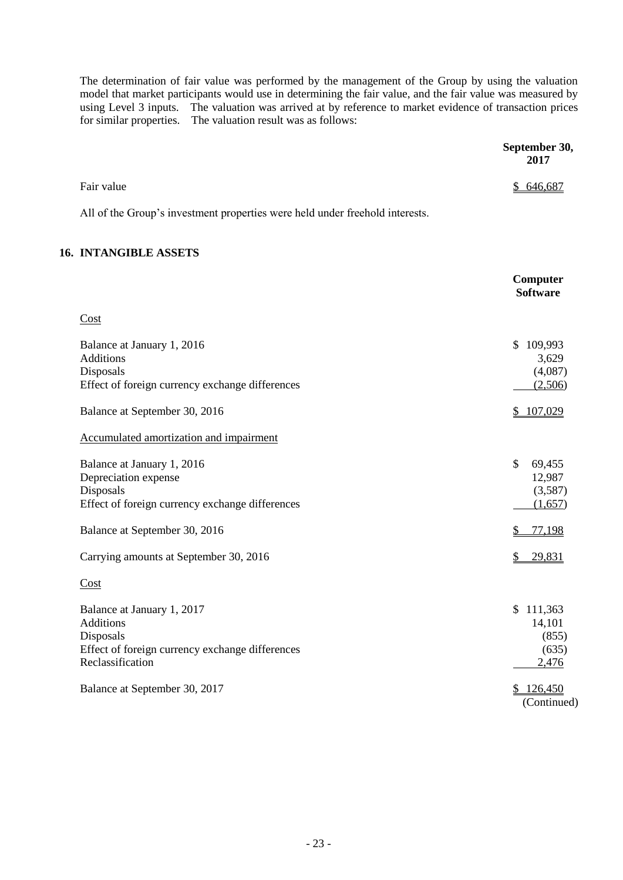The determination of fair value was performed by the management of the Group by using the valuation model that market participants would use in determining the fair value, and the fair value was measured by using Level 3 inputs. The valuation was arrived at by reference to market evidence of transaction prices for similar properties. The valuation result was as follows:

|                                                                                                                                    | September 30,<br>2017                                   |
|------------------------------------------------------------------------------------------------------------------------------------|---------------------------------------------------------|
| Fair value                                                                                                                         | \$646,687                                               |
| All of the Group's investment properties were held under freehold interests.                                                       |                                                         |
| <b>16. INTANGIBLE ASSETS</b>                                                                                                       |                                                         |
|                                                                                                                                    | Computer<br><b>Software</b>                             |
| Cost                                                                                                                               |                                                         |
| Balance at January 1, 2016<br><b>Additions</b><br>Disposals<br>Effect of foreign currency exchange differences                     | \$109,993<br>3,629<br>(4,087)<br>(2,506)                |
| Balance at September 30, 2016                                                                                                      | \$107,029                                               |
| Accumulated amortization and impairment                                                                                            |                                                         |
| Balance at January 1, 2016<br>Depreciation expense<br>Disposals<br>Effect of foreign currency exchange differences                 | $\mathcal{S}$<br>69,455<br>12,987<br>(3,587)<br>(1,657) |
| Balance at September 30, 2016                                                                                                      | 77,198                                                  |
| Carrying amounts at September 30, 2016                                                                                             | 29,831                                                  |
| Cost                                                                                                                               |                                                         |
| Balance at January 1, 2017<br><b>Additions</b><br>Disposals<br>Effect of foreign currency exchange differences<br>Reclassification | \$111,363<br>14,101<br>(855)<br>(635)<br>2,476          |
| Balance at September 30, 2017                                                                                                      | \$126,450<br>(Continued)                                |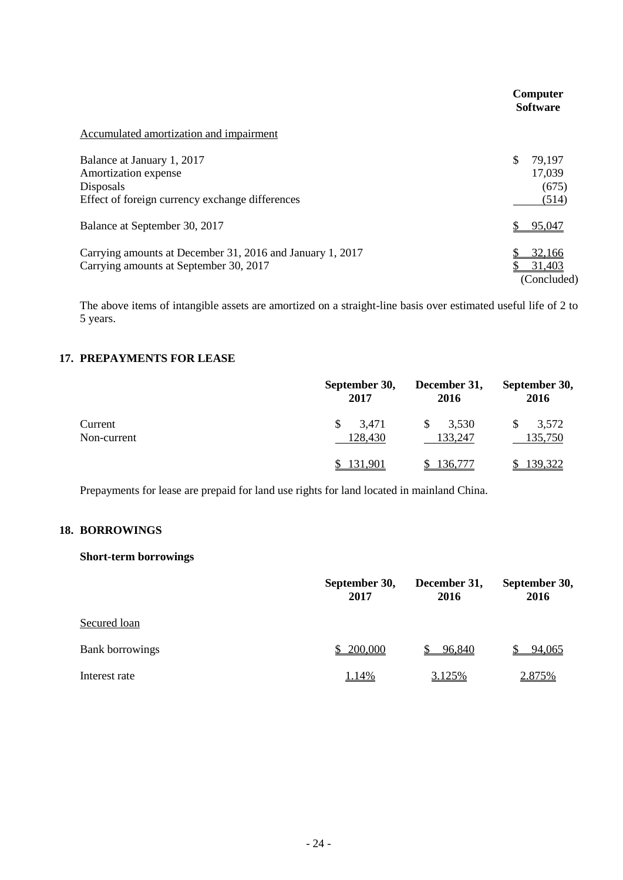|                                                                                                                    | Computer<br><b>Software</b>              |
|--------------------------------------------------------------------------------------------------------------------|------------------------------------------|
| Accumulated amortization and impairment                                                                            |                                          |
| Balance at January 1, 2017<br>Amortization expense<br>Disposals<br>Effect of foreign currency exchange differences | \$<br>79,197<br>17,039<br>(675)<br>(514) |
| Balance at September 30, 2017                                                                                      | 95.047                                   |
| Carrying amounts at December 31, 2016 and January 1, 2017<br>Carrying amounts at September 30, 2017                | 32,166<br>31,403<br>(Concluded)          |

The above items of intangible assets are amortized on a straight-line basis over estimated useful life of 2 to 5 years.

#### **17. PREPAYMENTS FOR LEASE**

|                        | September 30,<br>2017 | December 31,<br>2016   | September 30,<br>2016 |
|------------------------|-----------------------|------------------------|-----------------------|
| Current<br>Non-current | 3,471<br>128,430      | 3,530<br>\$<br>133,247 | 3,572<br>135,750      |
|                        | 131,901               | 136,777                | 139,322               |

Prepayments for lease are prepaid for land use rights for land located in mainland China.

### **18. BORROWINGS**

#### **Short-term borrowings**

|                        | September 30,<br>2017 | December 31,<br>2016 | September 30,<br>2016 |
|------------------------|-----------------------|----------------------|-----------------------|
| Secured loan           |                       |                      |                       |
| <b>Bank borrowings</b> | 200,000               | 96,840               | 94,065                |
| Interest rate          | 1.14%                 | 3.125%               | 2.875%                |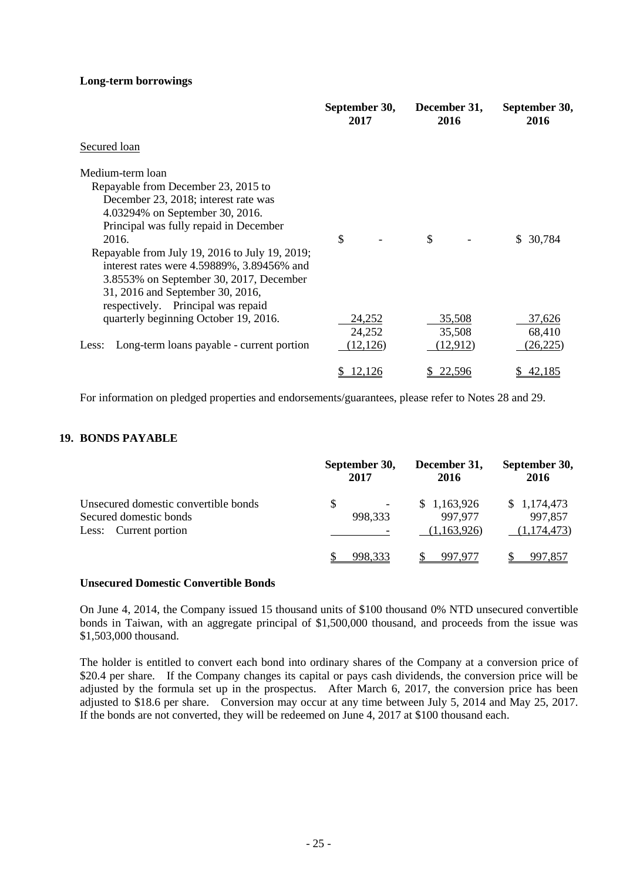#### **Long-term borrowings**

|                                                    | September 30,<br>2017 | December 31,<br>2016 | September 30,<br>2016 |
|----------------------------------------------------|-----------------------|----------------------|-----------------------|
| Secured loan                                       |                       |                      |                       |
| Medium-term loan                                   |                       |                      |                       |
| Repayable from December 23, 2015 to                |                       |                      |                       |
| December 23, 2018; interest rate was               |                       |                      |                       |
| 4.03294% on September 30, 2016.                    |                       |                      |                       |
| Principal was fully repaid in December             |                       |                      |                       |
| 2016.                                              | \$                    | \$                   | \$ 30,784             |
| Repayable from July 19, 2016 to July 19, 2019;     |                       |                      |                       |
| interest rates were 4.59889%, 3.89456% and         |                       |                      |                       |
| 3.8553% on September 30, 2017, December            |                       |                      |                       |
| 31, 2016 and September 30, 2016,                   |                       |                      |                       |
| respectively. Principal was repaid                 |                       |                      |                       |
| quarterly beginning October 19, 2016.              | <u>24,252</u>         | 35,508               | 37,626                |
|                                                    | 24,252                | 35,508               | 68,410                |
| Long-term loans payable - current portion<br>Less: | (12, 126)             | (12,912)             | (26, 225)             |
|                                                    | 12,126<br>\$          | 22,596               | 42,185<br>\$          |

For information on pledged properties and endorsements/guarantees, please refer to Notes 28 and 29.

#### **19. BONDS PAYABLE**

|                                      | September 30,            | December 31, | September 30, |
|--------------------------------------|--------------------------|--------------|---------------|
|                                      | 2017                     | 2016         | 2016          |
| Unsecured domestic convertible bonds | \$                       | \$1,163,926  | \$1,174,473   |
| Secured domestic bonds               | $\overline{\phantom{a}}$ | 997,977      | 997,857       |
| Less: Current portion                | 998,333                  | (1,163,926)  | (1,174,473)   |
|                                      |                          |              |               |

#### **Unsecured Domestic Convertible Bonds**

On June 4, 2014, the Company issued 15 thousand units of \$100 thousand 0% NTD unsecured convertible bonds in Taiwan, with an aggregate principal of \$1,500,000 thousand, and proceeds from the issue was \$1,503,000 thousand.

The holder is entitled to convert each bond into ordinary shares of the Company at a conversion price of \$20.4 per share. If the Company changes its capital or pays cash dividends, the conversion price will be adjusted by the formula set up in the prospectus. After March 6, 2017, the conversion price has been adjusted to \$18.6 per share. Conversion may occur at any time between July 5, 2014 and May 25, 2017. If the bonds are not converted, they will be redeemed on June 4, 2017 at \$100 thousand each.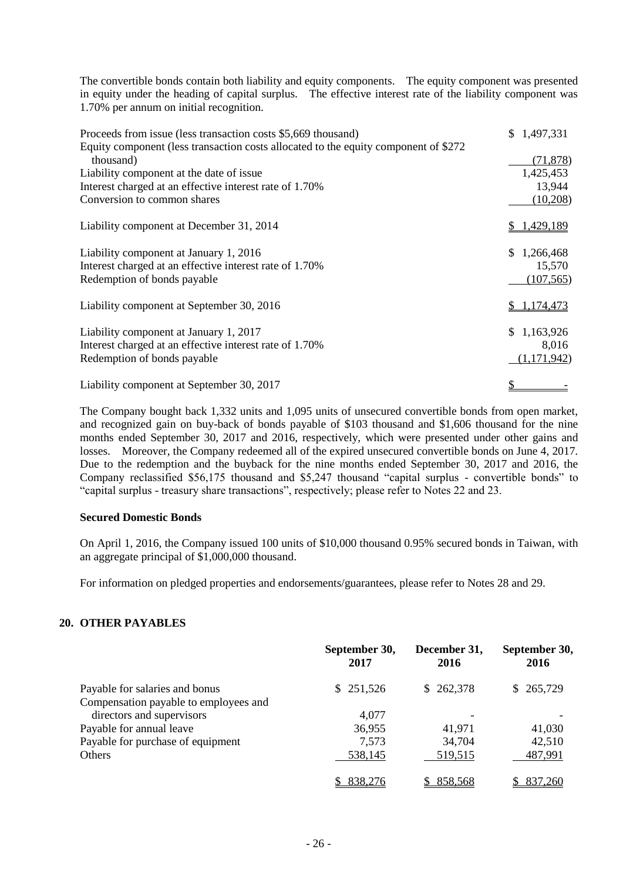The convertible bonds contain both liability and equity components. The equity component was presented in equity under the heading of capital surplus. The effective interest rate of the liability component was 1.70% per annum on initial recognition.

| Proceeds from issue (less transaction costs \$5,669 thousand)<br>Equity component (less transaction costs allocated to the equity component of \$272 | \$1,497,331 |
|------------------------------------------------------------------------------------------------------------------------------------------------------|-------------|
| thousand)                                                                                                                                            | (71, 878)   |
| Liability component at the date of issue.                                                                                                            | 1,425,453   |
| Interest charged at an effective interest rate of 1.70%                                                                                              | 13,944      |
| Conversion to common shares                                                                                                                          | (10,208)    |
| Liability component at December 31, 2014                                                                                                             | 1,429,189   |
| Liability component at January 1, 2016                                                                                                               | \$1,266,468 |
| Interest charged at an effective interest rate of 1.70%                                                                                              | 15,570      |
| Redemption of bonds payable                                                                                                                          | (107, 565)  |
| Liability component at September 30, 2016                                                                                                            | \$1,174,473 |
| Liability component at January 1, 2017                                                                                                               | \$1,163,926 |
| Interest charged at an effective interest rate of 1.70%                                                                                              | 8,016       |
| Redemption of bonds payable                                                                                                                          | (1,171,942) |
| Liability component at September 30, 2017                                                                                                            |             |

The Company bought back 1,332 units and 1,095 units of unsecured convertible bonds from open market, and recognized gain on buy-back of bonds payable of \$103 thousand and \$1,606 thousand for the nine months ended September 30, 2017 and 2016, respectively, which were presented under other gains and losses. Moreover, the Company redeemed all of the expired unsecured convertible bonds on June 4, 2017. Due to the redemption and the buyback for the nine months ended September 30, 2017 and 2016, the Company reclassified \$56,175 thousand and \$5,247 thousand "capital surplus - convertible bonds" to "capital surplus - treasury share transactions", respectively; please refer to Notes 22 and 23.

#### **Secured Domestic Bonds**

On April 1, 2016, the Company issued 100 units of \$10,000 thousand 0.95% secured bonds in Taiwan, with an aggregate principal of \$1,000,000 thousand.

For information on pledged properties and endorsements/guarantees, please refer to Notes 28 and 29.

#### **20. OTHER PAYABLES**

|                                       | September 30,<br>2017 | December 31,<br>2016 | September 30,<br>2016 |
|---------------------------------------|-----------------------|----------------------|-----------------------|
| Payable for salaries and bonus        | \$251,526             | \$262,378            | \$ 265,729            |
| Compensation payable to employees and |                       |                      |                       |
| directors and supervisors             | 4,077                 |                      |                       |
| Payable for annual leave              | 36,955                | 41,971               | 41,030                |
| Payable for purchase of equipment     | 7,573                 | 34,704               | 42,510                |
| Others                                | 538,145               | 519,515              | 487,991               |
|                                       | 838,276               | 858,568              | 837,260               |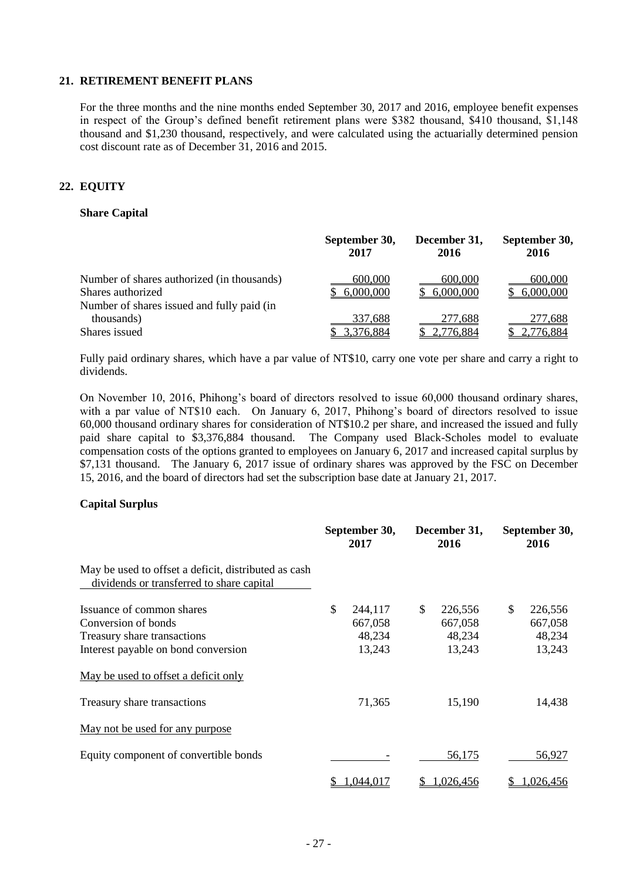#### **21. RETIREMENT BENEFIT PLANS**

For the three months and the nine months ended September 30, 2017 and 2016, employee benefit expenses in respect of the Group's defined benefit retirement plans were \$382 thousand, \$410 thousand, \$1,148 thousand and \$1,230 thousand, respectively, and were calculated using the actuarially determined pension cost discount rate as of December 31, 2016 and 2015.

#### **22. EQUITY**

#### **Share Capital**

|                                                                                                               | September 30,        | December 31,           | September 30,        |
|---------------------------------------------------------------------------------------------------------------|----------------------|------------------------|----------------------|
|                                                                                                               | 2017                 | 2016                   | 2016                 |
| Number of shares authorized (in thousands)<br>Shares authorized<br>Number of shares issued and fully paid (in | 600,000<br>6,000,000 | 600,000<br>\$6,000,000 | 600,000<br>6,000,000 |
| thousands)                                                                                                    | 337,688              | 277,688                | 277,688              |
| Shares issued                                                                                                 | 3,376,884            | 2,776,884              | 2,776,884            |

Fully paid ordinary shares, which have a par value of NT\$10, carry one vote per share and carry a right to dividends.

On November 10, 2016, Phihong's board of directors resolved to issue 60,000 thousand ordinary shares, with a par value of NT\$10 each. On January 6, 2017, Phihong's board of directors resolved to issue 60,000 thousand ordinary shares for consideration of NT\$10.2 per share, and increased the issued and fully paid share capital to \$3,376,884 thousand. The Company used Black-Scholes model to evaluate compensation costs of the options granted to employees on January 6, 2017 and increased capital surplus by \$7,131 thousand. The January 6, 2017 issue of ordinary shares was approved by the FSC on December 15, 2016, and the board of directors had set the subscription base date at January 21, 2017.

#### **Capital Surplus**

|                                                                                                   |    | September 30,<br>2017 |    | December 31,<br>2016 |     | September 30,<br>2016 |  |
|---------------------------------------------------------------------------------------------------|----|-----------------------|----|----------------------|-----|-----------------------|--|
| May be used to offset a deficit, distributed as cash<br>dividends or transferred to share capital |    |                       |    |                      |     |                       |  |
| Issuance of common shares                                                                         | \$ | 244,117               | \$ | 226,556              | \$. | 226,556               |  |
| Conversion of bonds                                                                               |    | 667,058               |    | 667,058              |     | 667,058               |  |
| Treasury share transactions                                                                       |    | 48,234                |    | 48,234               |     | 48,234                |  |
| Interest payable on bond conversion                                                               |    | 13,243                |    | 13,243               |     | 13,243                |  |
| May be used to offset a deficit only                                                              |    |                       |    |                      |     |                       |  |
| Treasury share transactions                                                                       |    | 71,365                |    | 15,190               |     | 14,438                |  |
| May not be used for any purpose                                                                   |    |                       |    |                      |     |                       |  |
| Equity component of convertible bonds                                                             |    |                       |    | 56,175               |     | 56,927                |  |
|                                                                                                   | S  | 1,044,017             |    | 1,026,456            | S   | 1,026,456             |  |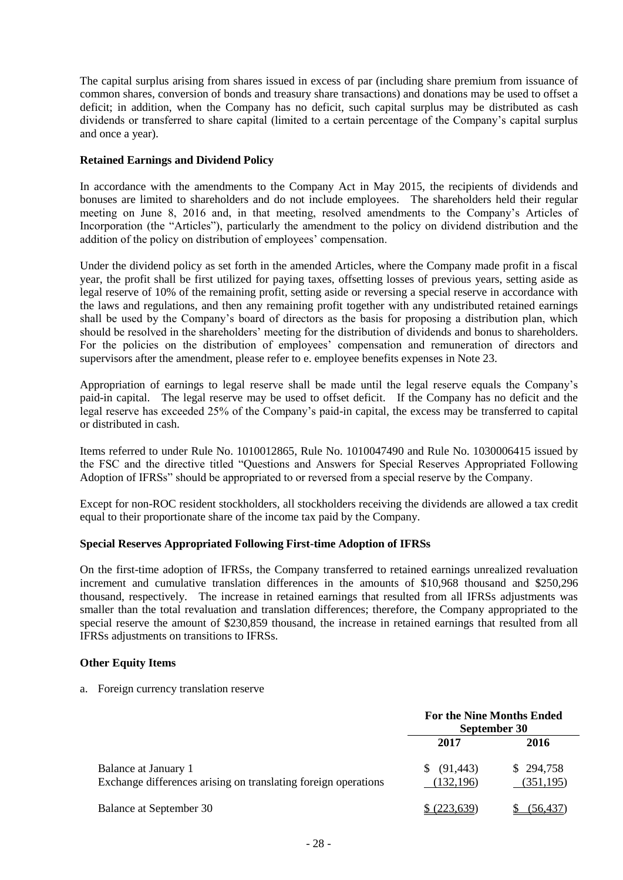The capital surplus arising from shares issued in excess of par (including share premium from issuance of common shares, conversion of bonds and treasury share transactions) and donations may be used to offset a deficit; in addition, when the Company has no deficit, such capital surplus may be distributed as cash dividends or transferred to share capital (limited to a certain percentage of the Company's capital surplus and once a year).

#### **Retained Earnings and Dividend Policy**

In accordance with the amendments to the Company Act in May 2015, the recipients of dividends and bonuses are limited to shareholders and do not include employees. The shareholders held their regular meeting on June 8, 2016 and, in that meeting, resolved amendments to the Company's Articles of Incorporation (the "Articles"), particularly the amendment to the policy on dividend distribution and the addition of the policy on distribution of employees' compensation.

Under the dividend policy as set forth in the amended Articles, where the Company made profit in a fiscal year, the profit shall be first utilized for paying taxes, offsetting losses of previous years, setting aside as legal reserve of 10% of the remaining profit, setting aside or reversing a special reserve in accordance with the laws and regulations, and then any remaining profit together with any undistributed retained earnings shall be used by the Company's board of directors as the basis for proposing a distribution plan, which should be resolved in the shareholders' meeting for the distribution of dividends and bonus to shareholders. For the policies on the distribution of employees' compensation and remuneration of directors and supervisors after the amendment, please refer to e. employee benefits expenses in Note 23.

Appropriation of earnings to legal reserve shall be made until the legal reserve equals the Company's paid-in capital. The legal reserve may be used to offset deficit. If the Company has no deficit and the legal reserve has exceeded 25% of the Company's paid-in capital, the excess may be transferred to capital or distributed in cash.

Items referred to under Rule No. 1010012865, Rule No. 1010047490 and Rule No. 1030006415 issued by the FSC and the directive titled "Questions and Answers for Special Reserves Appropriated Following Adoption of IFRSs" should be appropriated to or reversed from a special reserve by the Company.

Except for non-ROC resident stockholders, all stockholders receiving the dividends are allowed a tax credit equal to their proportionate share of the income tax paid by the Company.

#### **Special Reserves Appropriated Following First-time Adoption of IFRSs**

On the first-time adoption of IFRSs, the Company transferred to retained earnings unrealized revaluation increment and cumulative translation differences in the amounts of \$10,968 thousand and \$250,296 thousand, respectively. The increase in retained earnings that resulted from all IFRSs adjustments was smaller than the total revaluation and translation differences; therefore, the Company appropriated to the special reserve the amount of \$230,859 thousand, the increase in retained earnings that resulted from all IFRSs adjustments on transitions to IFRSs.

#### **Other Equity Items**

a. Foreign currency translation reserve

|                                                                | <b>For the Nine Months Ended</b><br>September 30 |           |
|----------------------------------------------------------------|--------------------------------------------------|-----------|
|                                                                | 2017                                             | 2016      |
| Balance at January 1                                           | (91, 443)<br>S.                                  | \$294,758 |
| Exchange differences arising on translating foreign operations | (132,196)                                        | (351,195) |
| Balance at September 30                                        | (223.639)                                        | (56.437   |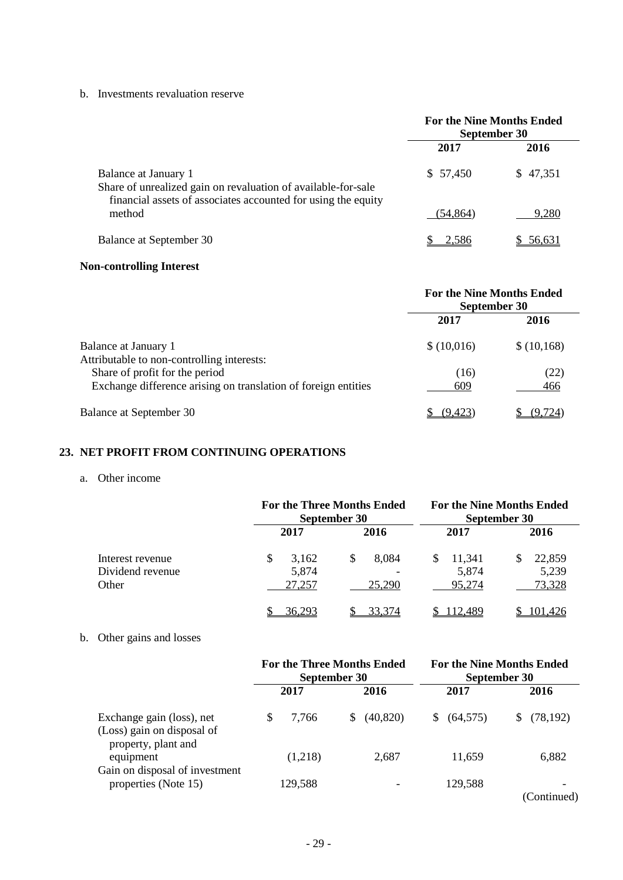b. Investments revaluation reserve

|                                                                                                                                                        | <b>For the Nine Months Ended</b><br>September 30 |          |  |  |
|--------------------------------------------------------------------------------------------------------------------------------------------------------|--------------------------------------------------|----------|--|--|
|                                                                                                                                                        | 2016<br>2017                                     |          |  |  |
| Balance at January 1<br>Share of unrealized gain on revaluation of available-for-sale<br>financial assets of associates accounted for using the equity | \$57,450                                         | \$47,351 |  |  |
| method                                                                                                                                                 | (54, 864)                                        | 9,280    |  |  |
| Balance at September 30                                                                                                                                |                                                  |          |  |  |

# **Non-controlling Interest**

|                                                                                                  | <b>For the Nine Months Ended</b><br>September 30 |             |  |
|--------------------------------------------------------------------------------------------------|--------------------------------------------------|-------------|--|
|                                                                                                  | 2017                                             | 2016        |  |
| Balance at January 1<br>Attributable to non-controlling interests:                               | \$(10,016)                                       | \$(10,168)  |  |
| Share of profit for the period<br>Exchange difference arising on translation of foreign entities | (16)<br>609                                      | (22)<br>466 |  |
| Balance at September 30                                                                          | (9.423                                           | (9.724)     |  |

## **23. NET PROFIT FROM CONTINUING OPERATIONS**

#### a. Other income

|                                               |                               | <b>For the Three Months Ended</b><br>September 30 |                                | <b>For the Nine Months Ended</b><br>September 30 |
|-----------------------------------------------|-------------------------------|---------------------------------------------------|--------------------------------|--------------------------------------------------|
|                                               | 2017                          | 2016                                              | 2017                           | 2016                                             |
| Interest revenue<br>Dividend revenue<br>Other | S<br>3,162<br>5,874<br>27,257 | 8,084<br>\$<br>25,290                             | S<br>11,341<br>5,874<br>95,274 | 22,859<br>5,239<br>73,328                        |
|                                               | 36,293                        | 33.374                                            | 12.489                         | 101.426                                          |

# b. Other gains and losses

|                                                                                | <b>For the Three Months Ended</b><br>September 30 |                 | <b>For the Nine Months Ended</b><br>September 30 |                  |  |
|--------------------------------------------------------------------------------|---------------------------------------------------|-----------------|--------------------------------------------------|------------------|--|
|                                                                                | 2017                                              | 2016            | 2017                                             | 2016             |  |
| Exchange gain (loss), net<br>(Loss) gain on disposal of<br>property, plant and | 7.766                                             | (40, 820)<br>S. | (64, 575)<br>S.                                  | (78, 192)<br>S   |  |
| equipment<br>Gain on disposal of investment                                    | (1,218)                                           | 2,687           | 11,659                                           | 6,882            |  |
| properties (Note 15)                                                           | 129,588                                           |                 | 129,588                                          | -<br>(Continued) |  |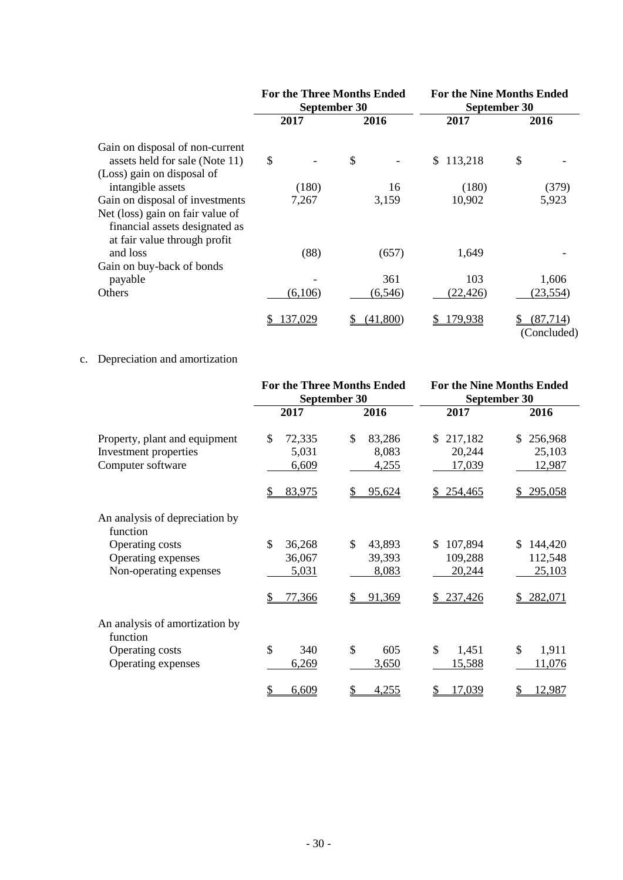|                                                                    |         | <b>For the Three Months Ended</b><br>September 30 |               | <b>For the Nine Months Ended</b><br>September 30 |
|--------------------------------------------------------------------|---------|---------------------------------------------------|---------------|--------------------------------------------------|
|                                                                    | 2017    | 2016                                              | 2017          | 2016                                             |
| Gain on disposal of non-current                                    |         |                                                   |               |                                                  |
| assets held for sale (Note 11)                                     | \$      | \$                                                | 113,218<br>\$ | \$                                               |
| (Loss) gain on disposal of                                         |         |                                                   |               |                                                  |
| intangible assets                                                  | (180)   | 16                                                | (180)         | (379)                                            |
| Gain on disposal of investments                                    | 7,267   | 3,159                                             | 10,902        | 5,923                                            |
| Net (loss) gain on fair value of<br>financial assets designated as |         |                                                   |               |                                                  |
| at fair value through profit                                       |         |                                                   |               |                                                  |
| and loss                                                           | (88)    | (657)                                             | 1,649         |                                                  |
| Gain on buy-back of bonds<br>payable                               |         | 361                                               | 103           | 1,606                                            |
|                                                                    |         |                                                   |               |                                                  |
| Others                                                             | (6,106) | (6, 546)                                          | (22, 426)     | (23, 554)                                        |
|                                                                    | 137,029 | (41,800)                                          | 179,938<br>\$ | (87,714)<br>(Concluded)                          |

## c. Depreciation and amortization

|                                                                                                               | <b>For the Three Months Ended</b><br>September 30 |                                                 | <b>For the Nine Months Ended</b><br>September 30 |                                                           |  |  |
|---------------------------------------------------------------------------------------------------------------|---------------------------------------------------|-------------------------------------------------|--------------------------------------------------|-----------------------------------------------------------|--|--|
|                                                                                                               | 2017                                              | 2016                                            | 2017                                             | 2016                                                      |  |  |
| Property, plant and equipment<br>Investment properties<br>Computer software                                   | \$<br>72,335<br>5,031<br>6,609<br>\$<br>83,975    | \$<br>83,286<br>8,083<br>4,255<br>95,624        | 217,182<br>\$<br>20,244<br>17,039<br>\$254,465   | 256,968<br>\$<br>25,103<br><u>12,987</u><br>295,058<br>S. |  |  |
| An analysis of depreciation by<br>function<br>Operating costs<br>Operating expenses<br>Non-operating expenses | \$<br>36,268<br>36,067<br>5,031<br>77,366<br>\$   | \$<br>43,893<br>39,393<br>8,083<br>91,369<br>\$ | \$<br>107,894<br>109,288<br>20,244<br>\$237,426  | 144,420<br>\$<br>112,548<br>25,103<br>282,071<br>\$       |  |  |
| An analysis of amortization by<br>function<br>Operating costs<br>Operating expenses                           | \$<br>340<br>6,269<br>6,609<br>\$                 | \$<br>605<br>3,650<br>\$<br>4,255               | \$<br>1,451<br>15,588<br>$\mathcal{P}$<br>17,039 | \$<br>1,911<br>11,076<br>12,987<br>\$                     |  |  |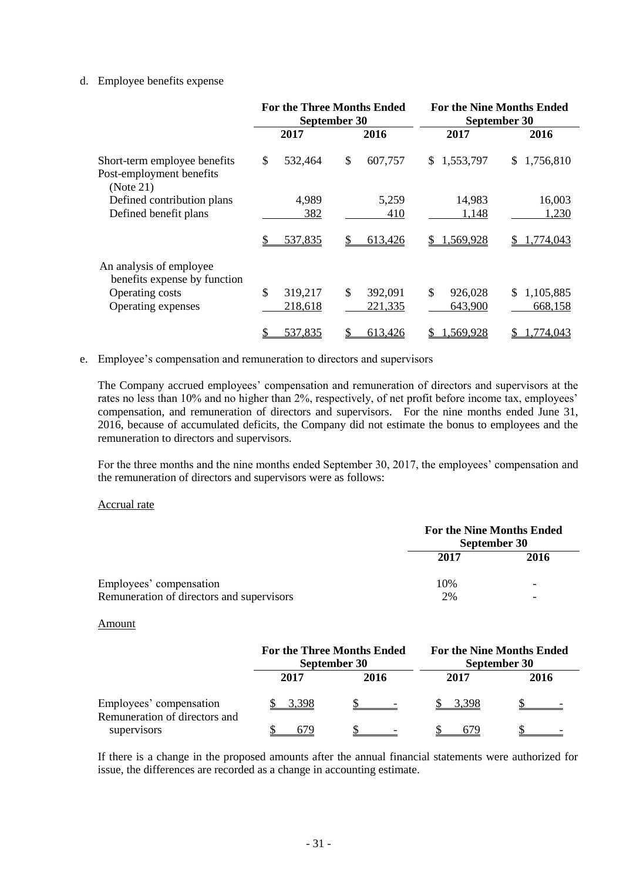#### d. Employee benefits expense

|                                                                       | <b>For the Three Months Ended</b><br>September 30 |                    |    |                    | <b>For the Nine Months Ended</b><br>September 30 |                    |    |                      |
|-----------------------------------------------------------------------|---------------------------------------------------|--------------------|----|--------------------|--------------------------------------------------|--------------------|----|----------------------|
|                                                                       |                                                   | 2017               |    | 2016               |                                                  | 2017               |    | 2016                 |
| Short-term employee benefits<br>Post-employment benefits<br>(Note 21) | \$                                                | 532,464            | \$ | 607,757            | S.                                               | 1,553,797          | S. | 1,756,810            |
| Defined contribution plans<br>Defined benefit plans                   |                                                   | 4,989<br>382       |    | 5,259<br>410       |                                                  | 14,983<br>1,148    |    | 16,003<br>1,230      |
|                                                                       |                                                   | 537,835            |    | 613,426            | S.                                               | 1,569,928          |    | .774,043             |
| An analysis of employee<br>benefits expense by function               |                                                   |                    |    |                    |                                                  |                    |    |                      |
| Operating costs<br>Operating expenses                                 | \$                                                | 319,217<br>218,618 | \$ | 392,091<br>221,335 | \$                                               | 926,028<br>643,900 | S. | 1,105,885<br>668,158 |
|                                                                       |                                                   | 537,835            |    | 613,426            |                                                  | 1,569,928          |    | 1,774,043            |

#### e. Employee's compensation and remuneration to directors and supervisors

The Company accrued employees' compensation and remuneration of directors and supervisors at the rates no less than 10% and no higher than 2%, respectively, of net profit before income tax, employees' compensation, and remuneration of directors and supervisors. For the nine months ended June 31, 2016, because of accumulated deficits, the Company did not estimate the bonus to employees and the remuneration to directors and supervisors.

For the three months and the nine months ended September 30, 2017, the employees' compensation and the remuneration of directors and supervisors were as follows:

#### Accrual rate

|                                           | <b>For the Nine Months Ended</b><br>September 30 |                          |
|-------------------------------------------|--------------------------------------------------|--------------------------|
|                                           | 2017                                             | 2016                     |
| Employees' compensation                   | 10%                                              | $\overline{\phantom{0}}$ |
| Remuneration of directors and supervisors | 2%                                               | $\overline{\phantom{0}}$ |

#### Amount

|                                                          | <b>For the Three Months Ended</b><br>September 30 |      |      | <b>For the Nine Months Ended</b><br>September 30 |
|----------------------------------------------------------|---------------------------------------------------|------|------|--------------------------------------------------|
|                                                          | 2017                                              | 2016 | 2017 | 2016                                             |
| Employees' compensation<br>Remuneration of directors and | 3.398                                             |      |      |                                                  |
| supervisors                                              | 679                                               |      | 679  |                                                  |

If there is a change in the proposed amounts after the annual financial statements were authorized for issue, the differences are recorded as a change in accounting estimate.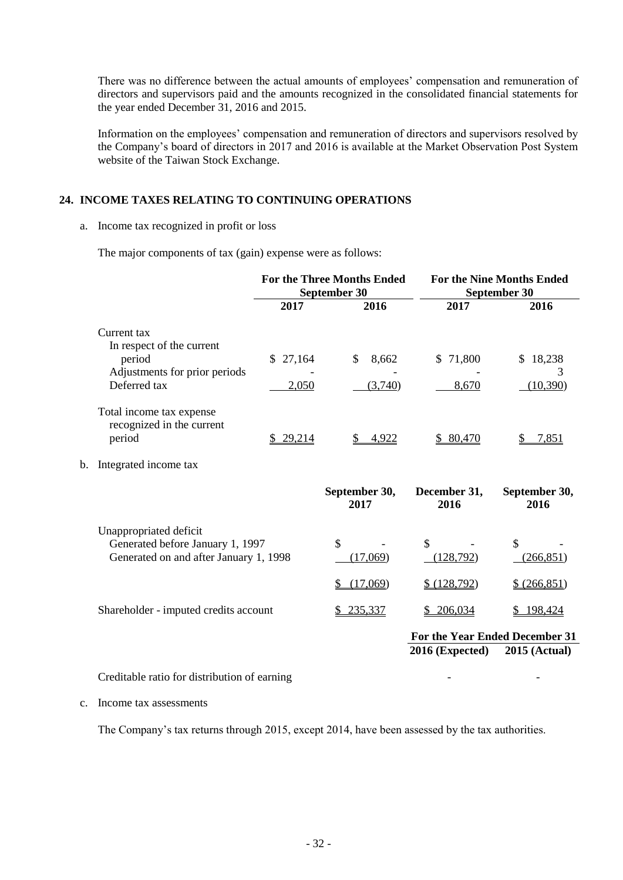There was no difference between the actual amounts of employees' compensation and remuneration of directors and supervisors paid and the amounts recognized in the consolidated financial statements for the year ended December 31, 2016 and 2015.

Information on the employees' compensation and remuneration of directors and supervisors resolved by the Company's board of directors in 2017 and 2016 is available at the Market Observation Post System website of the Taiwan Stock Exchange.

#### **24. INCOME TAXES RELATING TO CONTINUING OPERATIONS**

#### a. Income tax recognized in profit or loss

The major components of tax (gain) expense were as follows:

|    |                                                                                                      | <b>For the Three Months Ended</b><br>September 30 |                           | <b>For the Nine Months Ended</b><br>September 30 |                       |
|----|------------------------------------------------------------------------------------------------------|---------------------------------------------------|---------------------------|--------------------------------------------------|-----------------------|
|    |                                                                                                      | 2017                                              | 2016                      | 2017                                             | 2016                  |
|    | Current tax                                                                                          |                                                   |                           |                                                  |                       |
|    | In respect of the current<br>period<br>Adjustments for prior periods                                 | \$27,164                                          | $\mathcal{S}$<br>8,662    | \$71,800                                         | 18,238<br>\$.<br>3    |
|    | Deferred tax                                                                                         | 2,050                                             | (3,740)                   | 8,670                                            | (10, 390)             |
|    | Total income tax expense<br>recognized in the current<br>period                                      | \$29,214                                          | \$<br>4,922               | \$80,470                                         | 7,851<br>\$           |
| b. | Integrated income tax                                                                                |                                                   |                           |                                                  |                       |
|    |                                                                                                      |                                                   | September 30,<br>2017     | December 31,<br>2016                             | September 30,<br>2016 |
|    | Unappropriated deficit<br>Generated before January 1, 1997<br>Generated on and after January 1, 1998 |                                                   | $\mathcal{S}$<br>(17,069) | $\mathbb{S}$<br>(128,792)                        | \$<br>(266, 851)      |
|    |                                                                                                      |                                                   | (17,069)<br>S             | \$ (128, 792)                                    | \$ (266, 851)         |
|    | Shareholder - imputed credits account                                                                |                                                   | \$235,337                 | \$206,034                                        | \$198,424             |
|    |                                                                                                      |                                                   |                           | For the Year Ended December 31                   |                       |
|    |                                                                                                      |                                                   |                           | 2016 (Expected)                                  | <b>2015 (Actual)</b>  |
|    |                                                                                                      |                                                   |                           |                                                  |                       |

Creditable ratio for distribution of earning

#### c. Income tax assessments

The Company's tax returns through 2015, except 2014, have been assessed by the tax authorities.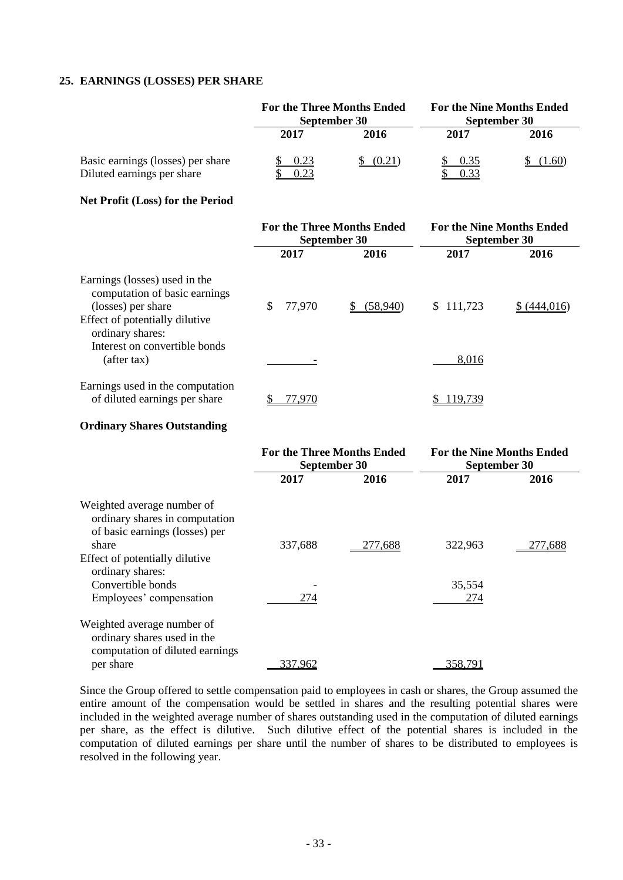#### **25. EARNINGS (LOSSES) PER SHARE**

|                                                                 | <b>For the Three Months Ended</b><br>September 30 |        | <b>For the Nine Months Ended</b><br>September 30 |       |
|-----------------------------------------------------------------|---------------------------------------------------|--------|--------------------------------------------------|-------|
|                                                                 | 2017                                              | 2016   | 2017                                             | 2016  |
| Basic earnings (losses) per share<br>Diluted earnings per share | 0.23<br>0.23                                      | (0.21) | 0.35<br>0.33                                     | .1.60 |

#### **Net Profit (Loss) for the Period**

|                                                                                                                                            | <b>For the Three Months Ended</b><br>September 30 |          | <b>For the Nine Months Ended</b><br>September 30 |             |
|--------------------------------------------------------------------------------------------------------------------------------------------|---------------------------------------------------|----------|--------------------------------------------------|-------------|
|                                                                                                                                            | 2017                                              | 2016     | 2017                                             | 2016        |
| Earnings (losses) used in the<br>computation of basic earnings<br>(losses) per share<br>Effect of potentially dilutive<br>ordinary shares: | \$<br>77,970                                      | (58,940) | \$111,723                                        | \$(444.016) |
| Interest on convertible bonds<br>(after tax)                                                                                               |                                                   |          | 8,016                                            |             |
| Earnings used in the computation<br>of diluted earnings per share                                                                          | 77.970                                            |          | 119,739                                          |             |

#### **Ordinary Shares Outstanding**

|                                                                                                | <b>For the Three Months Ended</b><br>September 30 |                | <b>For the Nine Months Ended</b><br>September 30 |         |
|------------------------------------------------------------------------------------------------|---------------------------------------------------|----------------|--------------------------------------------------|---------|
|                                                                                                | 2017                                              | 2016           | 2017                                             | 2016    |
| Weighted average number of<br>ordinary shares in computation<br>of basic earnings (losses) per |                                                   |                |                                                  |         |
| share                                                                                          | 337,688                                           | <u>277,688</u> | 322,963                                          | 277.688 |
| Effect of potentially dilutive<br>ordinary shares:                                             |                                                   |                |                                                  |         |
| Convertible bonds                                                                              |                                                   |                | 35,554                                           |         |
| Employees' compensation                                                                        | 274                                               |                | 274                                              |         |
| Weighted average number of<br>ordinary shares used in the<br>computation of diluted earnings   |                                                   |                |                                                  |         |
| per share                                                                                      | 337.962                                           |                | 358,791                                          |         |

Since the Group offered to settle compensation paid to employees in cash or shares, the Group assumed the entire amount of the compensation would be settled in shares and the resulting potential shares were included in the weighted average number of shares outstanding used in the computation of diluted earnings per share, as the effect is dilutive. Such dilutive effect of the potential shares is included in the computation of diluted earnings per share until the number of shares to be distributed to employees is resolved in the following year.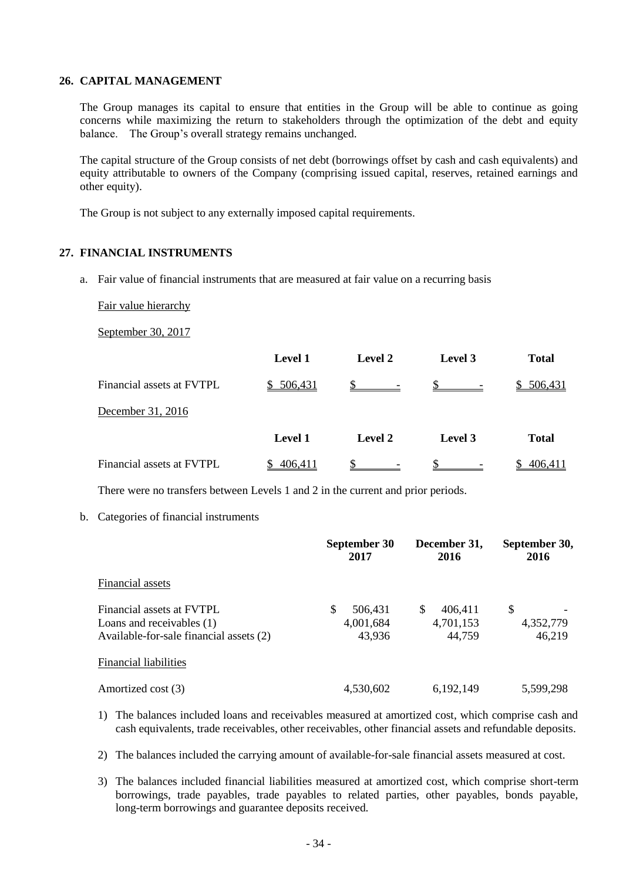#### **26. CAPITAL MANAGEMENT**

The Group manages its capital to ensure that entities in the Group will be able to continue as going concerns while maximizing the return to stakeholders through the optimization of the debt and equity balance. The Group's overall strategy remains unchanged.

The capital structure of the Group consists of net debt (borrowings offset by cash and cash equivalents) and equity attributable to owners of the Company (comprising issued capital, reserves, retained earnings and other equity).

The Group is not subject to any externally imposed capital requirements.

#### **27. FINANCIAL INSTRUMENTS**

a. Fair value of financial instruments that are measured at fair value on a recurring basis

Fair value hierarchy

September 30, 2017

|                           | <b>Level 1</b> | <b>Level 2</b> | Level 3      | <b>Total</b> |
|---------------------------|----------------|----------------|--------------|--------------|
| Financial assets at FVTPL | \$506,431      | $\mathbb{S}$   | $\mathbb{S}$ | \$ 506,431   |
| December 31, 2016         |                |                |              |              |
|                           | <b>Level 1</b> | <b>Level 2</b> | Level 3      | <b>Total</b> |
| Financial assets at FVTPL | 406,411        |                |              | 406.411      |

There were no transfers between Levels 1 and 2 in the current and prior periods.

b. Categories of financial instruments

|                                                                                                   | September 30<br>2017                | December 31,<br>2016                | September 30,<br>2016     |
|---------------------------------------------------------------------------------------------------|-------------------------------------|-------------------------------------|---------------------------|
| Financial assets                                                                                  |                                     |                                     |                           |
| Financial assets at FVTPL<br>Loans and receivables (1)<br>Available-for-sale financial assets (2) | S<br>506,431<br>4,001,684<br>43,936 | 406,411<br>S<br>4,701,153<br>44,759 | \$<br>4,352,779<br>46,219 |
| <b>Financial liabilities</b>                                                                      |                                     |                                     |                           |
| Amortized cost (3)                                                                                | 4,530,602                           | 6,192,149                           | 5,599,298                 |

- 1) The balances included loans and receivables measured at amortized cost, which comprise cash and cash equivalents, trade receivables, other receivables, other financial assets and refundable deposits.
- 2) The balances included the carrying amount of available-for-sale financial assets measured at cost.
- 3) The balances included financial liabilities measured at amortized cost, which comprise short-term borrowings, trade payables, trade payables to related parties, other payables, bonds payable, long-term borrowings and guarantee deposits received.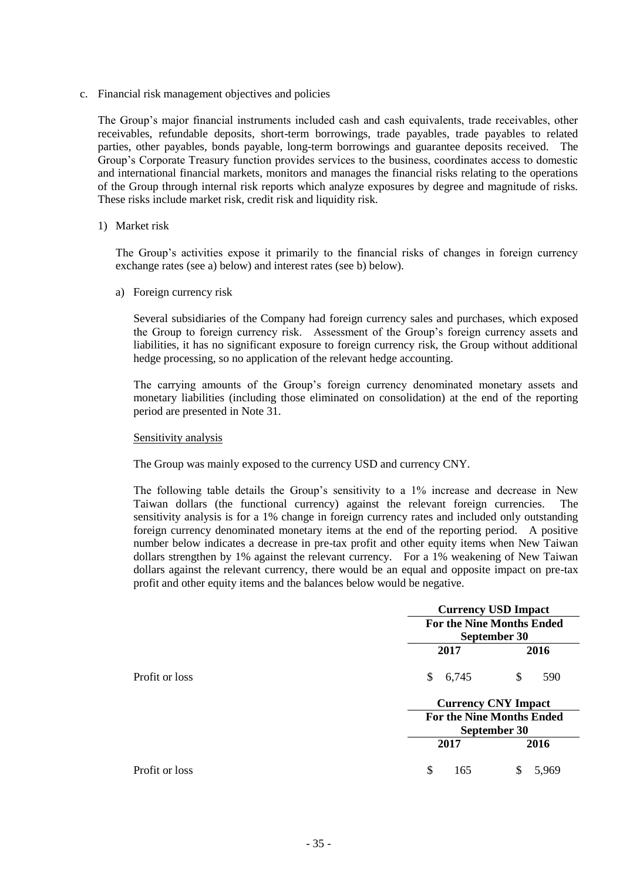c. Financial risk management objectives and policies

The Group's major financial instruments included cash and cash equivalents, trade receivables, other receivables, refundable deposits, short-term borrowings, trade payables, trade payables to related parties, other payables, bonds payable, long-term borrowings and guarantee deposits received. The Group's Corporate Treasury function provides services to the business, coordinates access to domestic and international financial markets, monitors and manages the financial risks relating to the operations of the Group through internal risk reports which analyze exposures by degree and magnitude of risks. These risks include market risk, credit risk and liquidity risk.

#### 1) Market risk

The Group's activities expose it primarily to the financial risks of changes in foreign currency exchange rates (see a) below) and interest rates (see b) below).

a) Foreign currency risk

Several subsidiaries of the Company had foreign currency sales and purchases, which exposed the Group to foreign currency risk. Assessment of the Group's foreign currency assets and liabilities, it has no significant exposure to foreign currency risk, the Group without additional hedge processing, so no application of the relevant hedge accounting.

The carrying amounts of the Group's foreign currency denominated monetary assets and monetary liabilities (including those eliminated on consolidation) at the end of the reporting period are presented in Note 31.

#### Sensitivity analysis

The Group was mainly exposed to the currency USD and currency CNY.

The following table details the Group's sensitivity to a 1% increase and decrease in New Taiwan dollars (the functional currency) against the relevant foreign currencies. The sensitivity analysis is for a 1% change in foreign currency rates and included only outstanding foreign currency denominated monetary items at the end of the reporting period. A positive number below indicates a decrease in pre-tax profit and other equity items when New Taiwan dollars strengthen by 1% against the relevant currency. For a 1% weakening of New Taiwan dollars against the relevant currency, there would be an equal and opposite impact on pre-tax profit and other equity items and the balances below would be negative.

|                |             | <b>Currency USD Impact</b>                       |  |  |
|----------------|-------------|--------------------------------------------------|--|--|
|                |             | <b>For the Nine Months Ended</b><br>September 30 |  |  |
|                |             |                                                  |  |  |
|                | 2017        | 2016                                             |  |  |
| Profit or loss | 6,745<br>\$ | \$<br>590                                        |  |  |
|                |             | <b>Currency CNY Impact</b>                       |  |  |
|                |             | <b>For the Nine Months Ended</b>                 |  |  |
|                |             | September 30                                     |  |  |
|                | 2017        | 2016                                             |  |  |
| Profit or loss | \$<br>165   | 5,969<br>S                                       |  |  |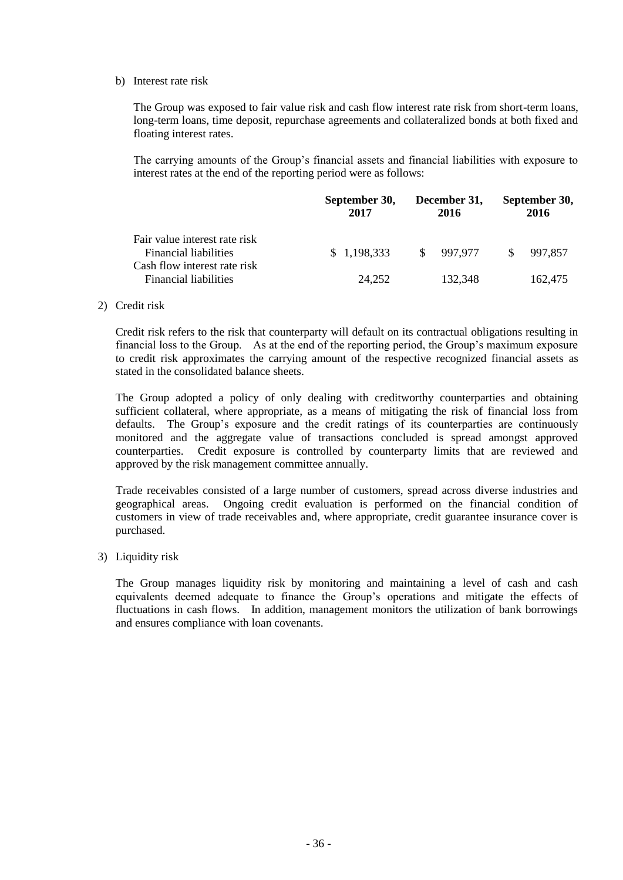#### b) Interest rate risk

The Group was exposed to fair value risk and cash flow interest rate risk from short-term loans, long-term loans, time deposit, repurchase agreements and collateralized bonds at both fixed and floating interest rates.

The carrying amounts of the Group's financial assets and financial liabilities with exposure to interest rates at the end of the reporting period were as follows:

|                                                                                        | September 30,<br>2017 | December 31,<br>2016 | September 30,<br>2016   |
|----------------------------------------------------------------------------------------|-----------------------|----------------------|-------------------------|
| Fair value interest rate risk<br>Financial liabilities<br>Cash flow interest rate risk | \$1,198,333           | \$997,977            | 997,857<br><sup>S</sup> |
| <b>Financial liabilities</b>                                                           | 24,252                | 132.348              | 162,475                 |

#### 2) Credit risk

Credit risk refers to the risk that counterparty will default on its contractual obligations resulting in financial loss to the Group. As at the end of the reporting period, the Group's maximum exposure to credit risk approximates the carrying amount of the respective recognized financial assets as stated in the consolidated balance sheets.

The Group adopted a policy of only dealing with creditworthy counterparties and obtaining sufficient collateral, where appropriate, as a means of mitigating the risk of financial loss from defaults. The Group's exposure and the credit ratings of its counterparties are continuously monitored and the aggregate value of transactions concluded is spread amongst approved counterparties. Credit exposure is controlled by counterparty limits that are reviewed and approved by the risk management committee annually.

Trade receivables consisted of a large number of customers, spread across diverse industries and geographical areas. Ongoing credit evaluation is performed on the financial condition of customers in view of trade receivables and, where appropriate, credit guarantee insurance cover is purchased.

#### 3) Liquidity risk

The Group manages liquidity risk by monitoring and maintaining a level of cash and cash equivalents deemed adequate to finance the Group's operations and mitigate the effects of fluctuations in cash flows. In addition, management monitors the utilization of bank borrowings and ensures compliance with loan covenants.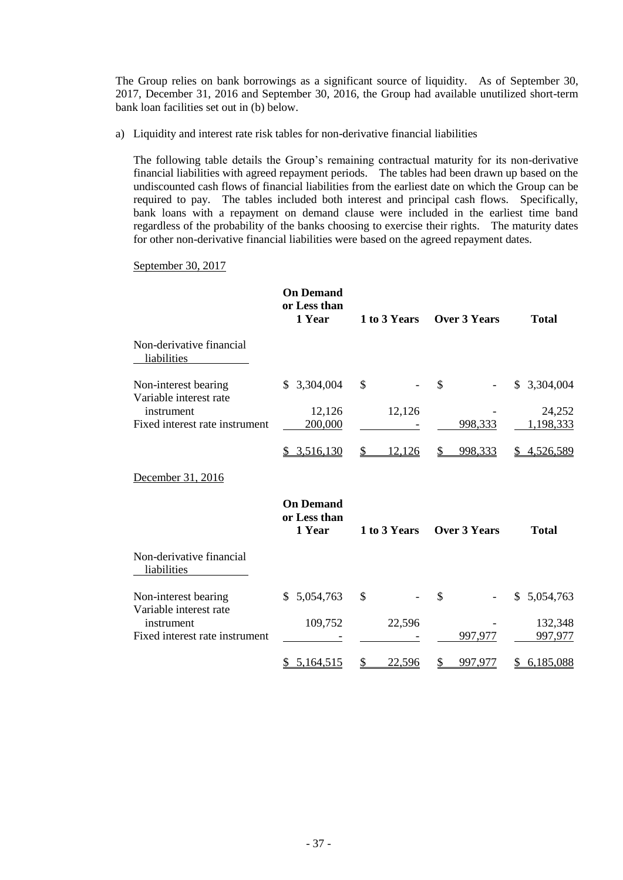The Group relies on bank borrowings as a significant source of liquidity. As of September 30, 2017, December 31, 2016 and September 30, 2016, the Group had available unutilized short-term bank loan facilities set out in (b) below.

a) Liquidity and interest rate risk tables for non-derivative financial liabilities

The following table details the Group's remaining contractual maturity for its non-derivative financial liabilities with agreed repayment periods. The tables had been drawn up based on the undiscounted cash flows of financial liabilities from the earliest date on which the Group can be required to pay. The tables included both interest and principal cash flows. Specifically, bank loans with a repayment on demand clause were included in the earliest time band regardless of the probability of the banks choosing to exercise their rights. The maturity dates for other non-derivative financial liabilities were based on the agreed repayment dates.

#### September 30, 2017

|                                                | <b>On Demand</b><br>or Less than<br>1 Year | 1 to 3 Years  | <b>Over 3 Years</b> | <b>Total</b>        |
|------------------------------------------------|--------------------------------------------|---------------|---------------------|---------------------|
| Non-derivative financial<br>liabilities        |                                            |               |                     |                     |
| Non-interest bearing<br>Variable interest rate | 3,304,004<br>S.                            | \$            | \$                  | 3,304,004<br>S.     |
| instrument<br>Fixed interest rate instrument   | 12,126<br>200,000                          | 12,126        | 998,333             | 24,252<br>1,198,333 |
|                                                | \$3,516,130                                | 12,126<br>\$  | 998,333             | 4,526,589           |
| December 31, 2016                              |                                            |               |                     |                     |
|                                                | <b>On Demand</b><br>or Less than<br>1 Year | 1 to 3 Years  | <b>Over 3 Years</b> | <b>Total</b>        |
| Non-derivative financial<br>liabilities        |                                            |               |                     |                     |
| Non-interest bearing<br>Variable interest rate | 5,054,763<br>S.                            | \$            | \$                  | 5,054,763<br>\$     |
| instrument                                     | 109,752                                    | 22,596        |                     | 132,348             |
| Fixed interest rate instrument                 |                                            |               | 997,977             | 997,977             |
|                                                | 5,164,515                                  | <u>22,596</u> | 997,977             | 6,185,088           |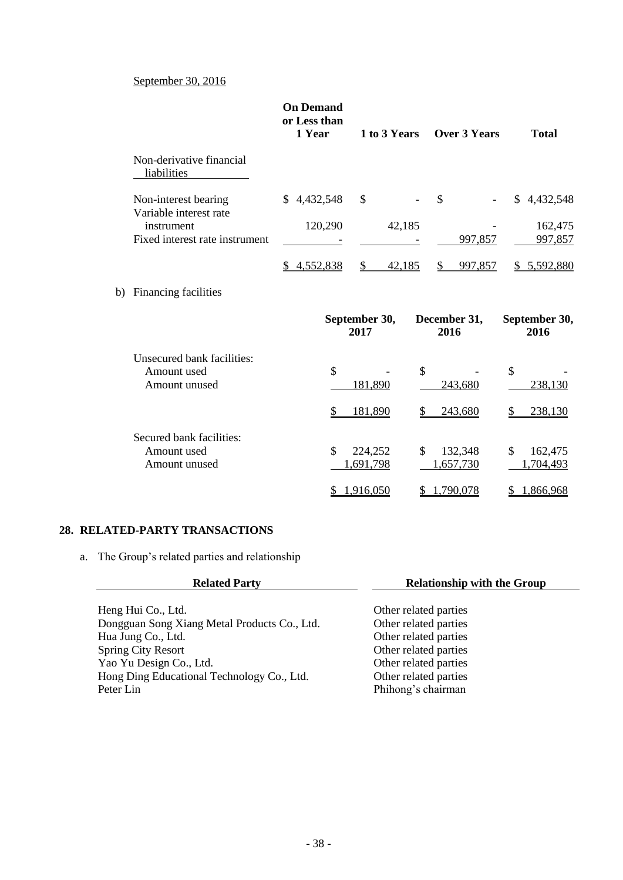#### September 30, 2016

|                                                            | <b>On Demand</b><br>or Less than<br>1 Year | 1 to 3 Years               | Over 3 Years         | <b>Total</b>               |
|------------------------------------------------------------|--------------------------------------------|----------------------------|----------------------|----------------------------|
| Non-derivative financial<br>liabilities                    |                                            |                            |                      |                            |
| Non-interest bearing<br>Variable interest rate             | \$4,432,548                                | \$                         | $\mathbb{S}$         | \$4,432,548                |
| instrument<br>Fixed interest rate instrument               | 120,290                                    | 42,185                     | 997,857              | 162,475<br>997,857         |
|                                                            |                                            |                            |                      |                            |
|                                                            | 4,552,838<br>S.                            | \$<br>42,185               | \$<br>997,857        | \$ 5,592,880               |
| b) Financing facilities                                    |                                            |                            |                      |                            |
|                                                            |                                            | September 30,<br>2017      | December 31,<br>2016 | September 30,<br>2016      |
| Unsecured bank facilities:<br>Amount used<br>Amount unused | $\mathcal{S}$                              | $\mathcal{S}$<br>181,890   | 243,680              | $\mathcal{S}$<br>238,130   |
|                                                            | S                                          | 181,890<br>S               | 243,680              | 238,130<br>\$              |
| Secured bank facilities:<br>Amount used<br>Amount unused   | \$                                         | 224,252<br>\$<br>1,691,798 | 132,348<br>1,657,730 | \$<br>162,475<br>1,704,493 |
|                                                            |                                            | 1,916,050                  | 1,790,078            | 1,866,968                  |

#### **28. RELATED-PARTY TRANSACTIONS**

a. The Group's related parties and relationship

| <b>Related Party</b>                         | <b>Relationship with the Group</b> |
|----------------------------------------------|------------------------------------|
|                                              |                                    |
| Heng Hui Co., Ltd.                           | Other related parties              |
| Dongguan Song Xiang Metal Products Co., Ltd. | Other related parties              |
| Hua Jung Co., Ltd.                           | Other related parties              |
| <b>Spring City Resort</b>                    | Other related parties              |
| Yao Yu Design Co., Ltd.                      | Other related parties              |
| Hong Ding Educational Technology Co., Ltd.   | Other related parties              |
| Peter Lin                                    | Phihong's chairman                 |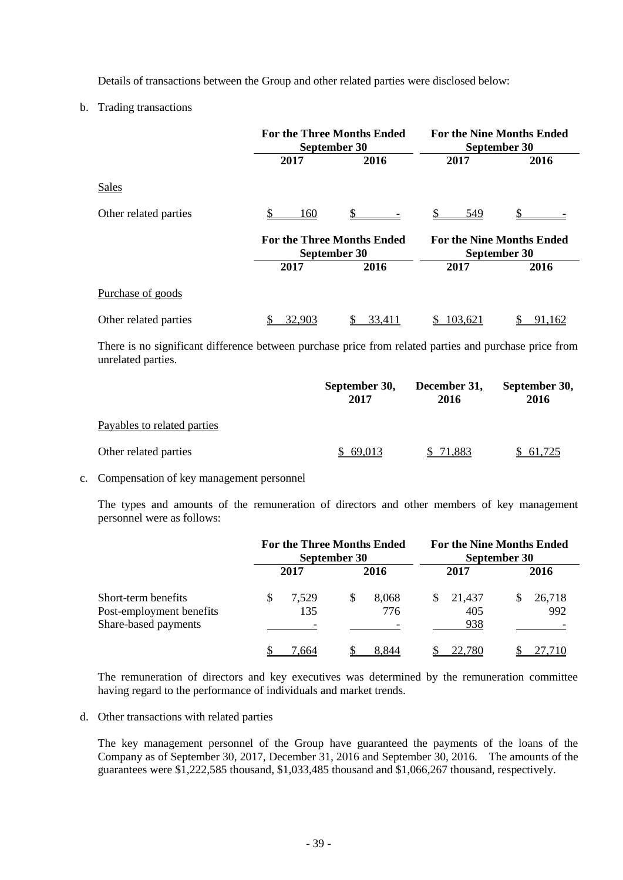Details of transactions between the Group and other related parties were disclosed below:

b. Trading transactions

|                       | <b>For the Three Months Ended</b><br>September 30 |      | <b>For the Nine Months Ended</b><br>September 30 |      |  |  |
|-----------------------|---------------------------------------------------|------|--------------------------------------------------|------|--|--|
|                       | 2017                                              | 2016 | 2017                                             | 2016 |  |  |
| Sales                 |                                                   |      |                                                  |      |  |  |
| Other related parties | 160                                               |      | 549                                              |      |  |  |
|                       |                                                   |      |                                                  |      |  |  |
|                       | <b>For the Three Months Ended</b><br>September 30 |      | <b>For the Nine Months Ended</b><br>September 30 |      |  |  |
|                       | 2017                                              | 2016 | 2017                                             | 2016 |  |  |
| Purchase of goods     |                                                   |      |                                                  |      |  |  |

There is no significant difference between purchase price from related parties and purchase price from unrelated parties.

|                             | September 30,<br>2017 | December 31,<br>2016 | September 30,<br>2016 |  |
|-----------------------------|-----------------------|----------------------|-----------------------|--|
| Payables to related parties |                       |                      |                       |  |
| Other related parties       | 69,013                | 71,883               | \$61,725              |  |

#### c. Compensation of key management personnel

The types and amounts of the remuneration of directors and other members of key management personnel were as follows:

|                                                                         | <b>For the Three Months Ended</b><br>September 30 |   | <b>For the Nine Months Ended</b><br>September 30 |    |                      |   |               |
|-------------------------------------------------------------------------|---------------------------------------------------|---|--------------------------------------------------|----|----------------------|---|---------------|
|                                                                         | 2017                                              |   | 2016                                             |    | 2017                 |   | 2016          |
| Short-term benefits<br>Post-employment benefits<br>Share-based payments | 7.529<br>135                                      | S | 8,068<br>776                                     | S. | 21,437<br>405<br>938 | S | 26,718<br>992 |
|                                                                         | 7.664                                             |   | 8.844                                            |    | 22.780               |   |               |

The remuneration of directors and key executives was determined by the remuneration committee having regard to the performance of individuals and market trends.

d. Other transactions with related parties

The key management personnel of the Group have guaranteed the payments of the loans of the Company as of September 30, 2017, December 31, 2016 and September 30, 2016. The amounts of the guarantees were \$1,222,585 thousand, \$1,033,485 thousand and \$1,066,267 thousand, respectively.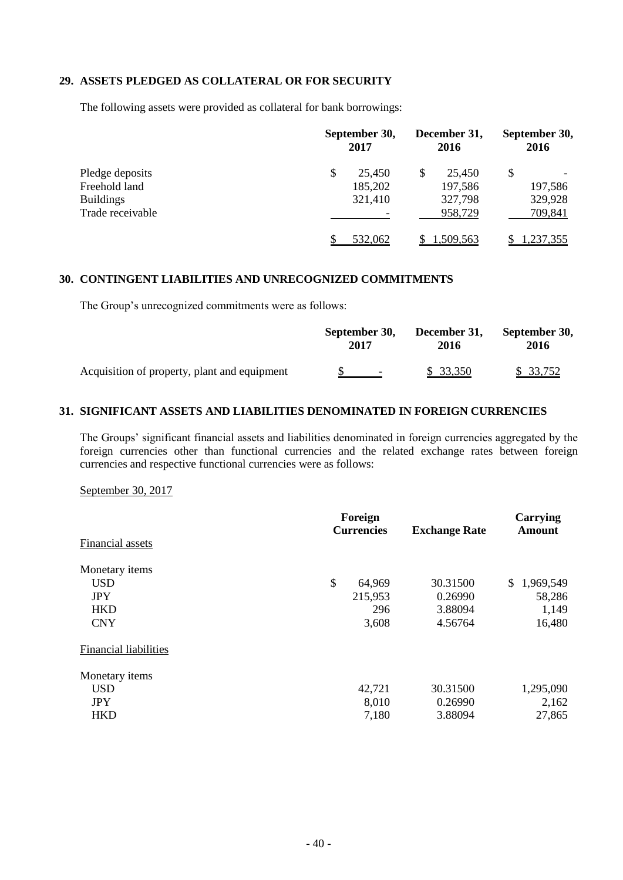#### **29. ASSETS PLEDGED AS COLLATERAL OR FOR SECURITY**

The following assets were provided as collateral for bank borrowings:

|                  | September 30,<br>2017 |   | December 31,<br>2016 |  | September 30,<br>2016 |  |
|------------------|-----------------------|---|----------------------|--|-----------------------|--|
| Pledge deposits  | \$<br>25,450          | S | 25,450               |  |                       |  |
| Freehold land    | 185,202               |   | 197,586              |  | 197,586               |  |
| <b>Buildings</b> | 321,410               |   | 327,798              |  | 329,928               |  |
| Trade receivable |                       |   | 958,729              |  | 709,841               |  |
|                  | 532,062               |   | 1,509,563            |  | .237,355              |  |

#### **30. CONTINGENT LIABILITIES AND UNRECOGNIZED COMMITMENTS**

The Group's unrecognized commitments were as follows:

|                                              | September 30, | December 31, | September 30, |  |
|----------------------------------------------|---------------|--------------|---------------|--|
|                                              | 2017          | 2016         | 2016          |  |
| Acquisition of property, plant and equipment | $\sim$        | \$ 33,350    | \$ 33,752     |  |

#### **31. SIGNIFICANT ASSETS AND LIABILITIES DENOMINATED IN FOREIGN CURRENCIES**

The Groups' significant financial assets and liabilities denominated in foreign currencies aggregated by the foreign currencies other than functional currencies and the related exchange rates between foreign currencies and respective functional currencies were as follows:

September 30, 2017

|                              | Foreign<br><b>Currencies</b> |         | <b>Exchange Rate</b> | Carrying<br><b>Amount</b> |  |
|------------------------------|------------------------------|---------|----------------------|---------------------------|--|
| Financial assets             |                              |         |                      |                           |  |
| Monetary items               |                              |         |                      |                           |  |
| <b>USD</b>                   | \$                           | 64,969  | 30.31500             | \$1,969,549               |  |
| <b>JPY</b>                   |                              | 215,953 | 0.26990              | 58,286                    |  |
| <b>HKD</b>                   |                              | 296     | 3.88094              | 1,149                     |  |
| <b>CNY</b>                   |                              | 3,608   | 4.56764              | 16,480                    |  |
| <b>Financial liabilities</b> |                              |         |                      |                           |  |
| Monetary items               |                              |         |                      |                           |  |
| <b>USD</b>                   |                              | 42,721  | 30.31500             | 1,295,090                 |  |
| <b>JPY</b>                   |                              | 8,010   | 0.26990              | 2,162                     |  |
| <b>HKD</b>                   |                              | 7,180   | 3.88094              | 27,865                    |  |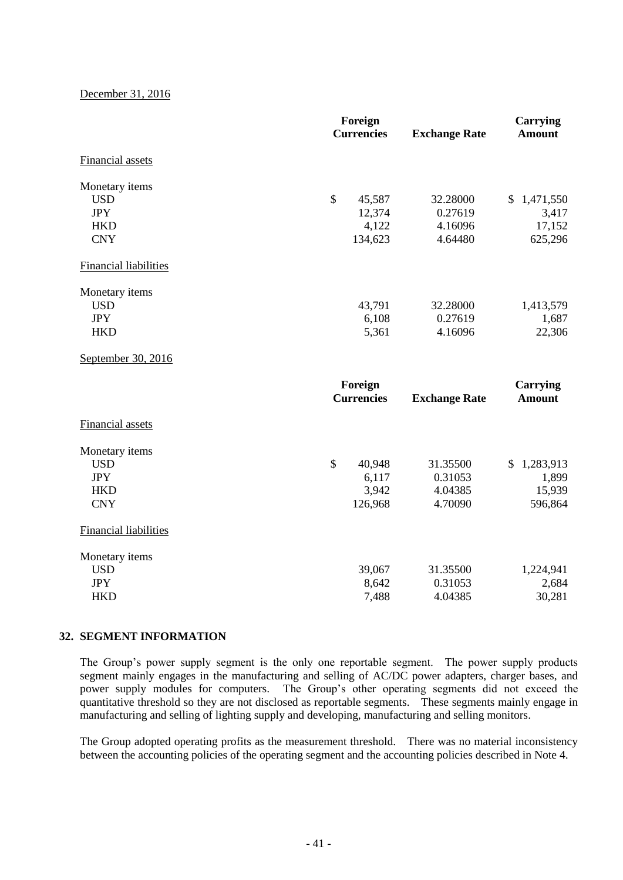#### December 31, 2016

| Foreign<br><b>Currencies</b>                                           |                                                      | <b>Exchange Rate</b>                      | <b>Carrying</b><br><b>Amount</b>          |  |
|------------------------------------------------------------------------|------------------------------------------------------|-------------------------------------------|-------------------------------------------|--|
| Financial assets                                                       |                                                      |                                           |                                           |  |
| Monetary items<br><b>USD</b><br><b>JPY</b><br><b>HKD</b><br><b>CNY</b> | $\mathbb{S}$<br>45,587<br>12,374<br>4,122<br>134,623 | 32.28000<br>0.27619<br>4.16096<br>4.64480 | \$1,471,550<br>3,417<br>17,152<br>625,296 |  |
| <b>Financial liabilities</b>                                           |                                                      |                                           |                                           |  |
| Monetary items<br><b>USD</b><br><b>JPY</b><br><b>HKD</b>               | 43,791<br>6,108<br>5,361                             | 32.28000<br>0.27619<br>4.16096            | 1,413,579<br>1,687<br>22,306              |  |
| September 30, 2016                                                     |                                                      |                                           |                                           |  |
|                                                                        | Foreign<br><b>Currencies</b>                         | <b>Exchange Rate</b>                      | <b>Carrying</b><br><b>Amount</b>          |  |
| Financial assets                                                       |                                                      |                                           |                                           |  |
| Monetary items<br><b>USD</b><br><b>JPY</b><br><b>HKD</b><br><b>CNY</b> | $\mathbb{S}$<br>40,948<br>6,117<br>3,942<br>126,968  | 31.35500<br>0.31053<br>4.04385<br>4.70090 | \$1,283,913<br>1,899<br>15,939<br>596,864 |  |
| <b>Financial liabilities</b>                                           |                                                      |                                           |                                           |  |
| Monetary items<br><b>USD</b><br><b>JPY</b><br><b>HKD</b>               | 39,067<br>8,642<br>7,488                             | 31.35500<br>0.31053<br>4.04385            | 1,224,941<br>2,684<br>30,281              |  |

#### **32. SEGMENT INFORMATION**

The Group's power supply segment is the only one reportable segment. The power supply products segment mainly engages in the manufacturing and selling of AC/DC power adapters, charger bases, and power supply modules for computers. The Group's other operating segments did not exceed the quantitative threshold so they are not disclosed as reportable segments. These segments mainly engage in manufacturing and selling of lighting supply and developing, manufacturing and selling monitors.

The Group adopted operating profits as the measurement threshold. There was no material inconsistency between the accounting policies of the operating segment and the accounting policies described in Note 4.